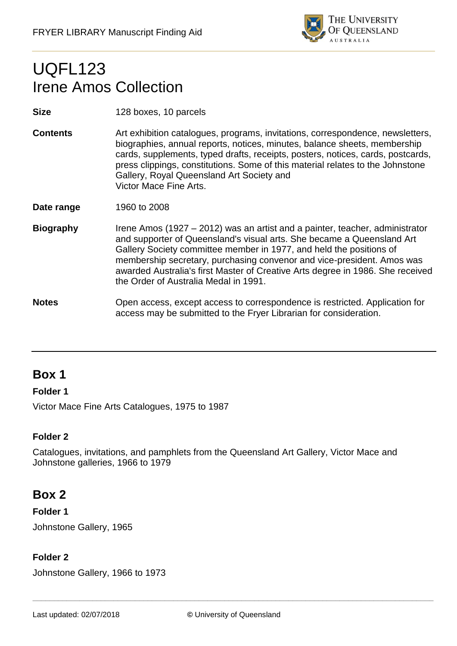

# UQFL123 Irene Amos Collection

**Size** 128 boxes, 10 parcels

- **Contents** Art exhibition catalogues, programs, invitations, correspondence, newsletters, biographies, annual reports, notices, minutes, balance sheets, membership cards, supplements, typed drafts, receipts, posters, notices, cards, postcards, press clippings, constitutions. Some of this material relates to the Johnstone Gallery, Royal Queensland Art Society and Victor Mace Fine Arts.
- **Date range** 1960 to 2008
- **Biography** Irene Amos (1927 2012) was an artist and a painter, teacher, administrator and supporter of Queensland's visual arts. She became a Queensland Art Gallery Society committee member in 1977, and held the positions of membership secretary, purchasing convenor and vice-president. Amos was awarded Australia's first Master of Creative Arts degree in 1986. She received the Order of Australia Medal in 1991.
- **Notes** Open access, except access to correspondence is restricted. Application for access may be submitted to the Fryer Librarian for consideration.

# **Box 1**

### **Folder 1**

Victor Mace Fine Arts Catalogues, 1975 to 1987

### **Folder 2**

Catalogues, invitations, and pamphlets from the Queensland Art Gallery, Victor Mace and Johnstone galleries, 1966 to 1979

# **Box 2**

### **Folder 1**

Johnstone Gallery, 1965

### **Folder 2**

Johnstone Gallery, 1966 to 1973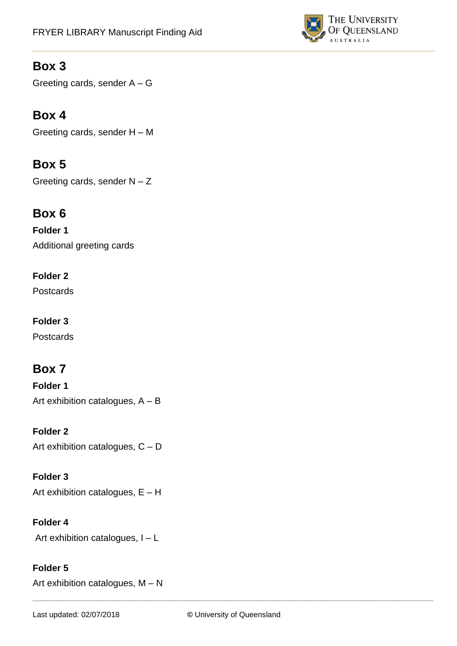

Greeting cards, sender A – G

# **Box 4**

Greeting cards, sender H – M

# **Box 5**

Greeting cards, sender  $N - Z$ 

# **Box 6**

**Folder 1**  Additional greeting cards

## **Folder 2**

**Postcards** 

## **Folder 3**

**Postcards** 

# **Box 7**

**Folder 1**  Art exhibition catalogues, A – B

## **Folder 2** Art exhibition catalogues, C – D

**Folder 3**  Art exhibition catalogues, E – H

## **Folder 4**

Art exhibition catalogues, I – L

## **Folder 5**

Art exhibition catalogues, M – N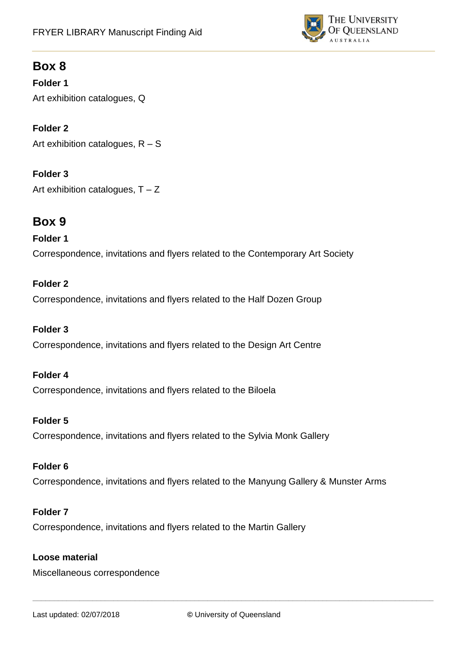

**Folder 1**  Art exhibition catalogues, Q

**Folder 2**  Art exhibition catalogues, R – S

**Folder 3** Art exhibition catalogues,  $T - Z$ 

# **Box 9**

### **Folder 1**

Correspondence, invitations and flyers related to the Contemporary Art Society

### **Folder 2**

Correspondence, invitations and flyers related to the Half Dozen Group

### **Folder 3**

Correspondence, invitations and flyers related to the Design Art Centre

### **Folder 4**

Correspondence, invitations and flyers related to the Biloela

#### **Folder 5**

Correspondence, invitations and flyers related to the Sylvia Monk Gallery

### **Folder 6**

Correspondence, invitations and flyers related to the Manyung Gallery & Munster Arms

### **Folder 7**

Correspondence, invitations and flyers related to the Martin Gallery

### **Loose material**

Miscellaneous correspondence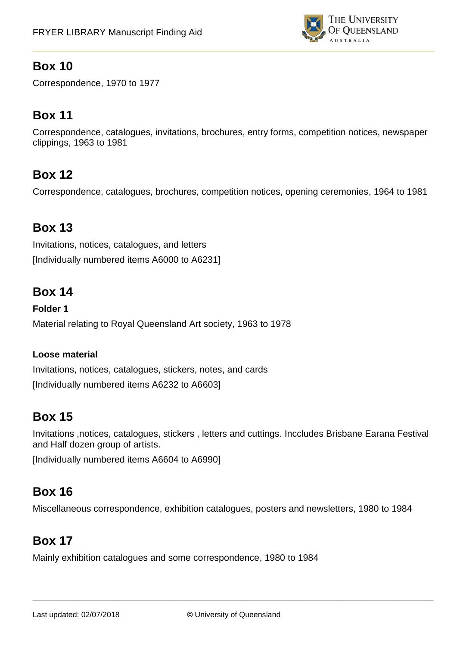

Correspondence, 1970 to 1977

# **Box 11**

Correspondence, catalogues, invitations, brochures, entry forms, competition notices, newspaper clippings, 1963 to 1981

# **Box 12**

Correspondence, catalogues, brochures, competition notices, opening ceremonies, 1964 to 1981

# **Box 13**

Invitations, notices, catalogues, and letters [Individually numbered items A6000 to A6231]

# **Box 14**

**Folder 1**  Material relating to Royal Queensland Art society, 1963 to 1978

### **Loose material**

Invitations, notices, catalogues, stickers, notes, and cards [Individually numbered items A6232 to A6603]

# **Box 15**

Invitations ,notices, catalogues, stickers , letters and cuttings. Inccludes Brisbane Earana Festival and Half dozen group of artists.

[Individually numbered items A6604 to A6990]

# **Box 16**

Miscellaneous correspondence, exhibition catalogues, posters and newsletters, 1980 to 1984

# **Box 17**

Mainly exhibition catalogues and some correspondence, 1980 to 1984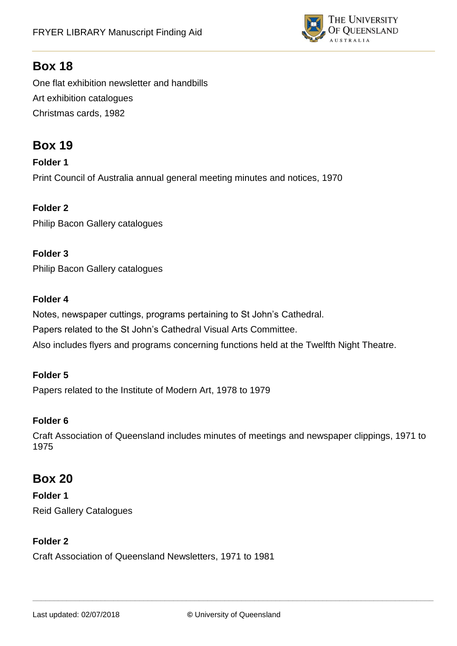

One flat exhibition newsletter and handbills Art exhibition catalogues Christmas cards, 1982

# **Box 19**

**Folder 1** Print Council of Australia annual general meeting minutes and notices, 1970

**Folder 2** Philip Bacon Gallery catalogues

### **Folder 3**

Philip Bacon Gallery catalogues

### **Folder 4**

Notes, newspaper cuttings, programs pertaining to St John's Cathedral. Papers related to the St John's Cathedral Visual Arts Committee. Also includes flyers and programs concerning functions held at the Twelfth Night Theatre.

### **Folder 5**

Papers related to the Institute of Modern Art, 1978 to 1979

### **Folder 6**

Craft Association of Queensland includes minutes of meetings and newspaper clippings, 1971 to 1975

# **Box 20**

**Folder 1** Reid Gallery Catalogues

### **Folder 2**

Craft Association of Queensland Newsletters, 1971 to 1981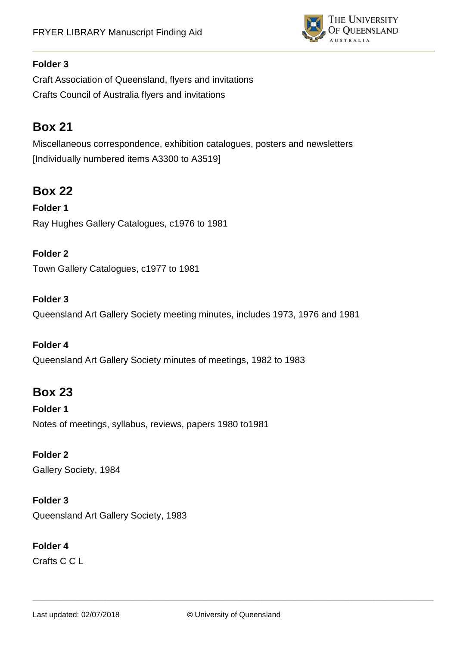

Craft Association of Queensland, flyers and invitations Crafts Council of Australia flyers and invitations

# **Box 21**

Miscellaneous correspondence, exhibition catalogues, posters and newsletters [Individually numbered items A3300 to A3519]

# **Box 22**

**Folder 1** Ray Hughes Gallery Catalogues, c1976 to 1981

## **Folder 2**

Town Gallery Catalogues, c1977 to 1981

### **Folder 3**

Queensland Art Gallery Society meeting minutes, includes 1973, 1976 and 1981

### **Folder 4**

Queensland Art Gallery Society minutes of meetings, 1982 to 1983

# **Box 23**

**Folder 1** Notes of meetings, syllabus, reviews, papers 1980 to1981

### **Folder 2**

Gallery Society, 1984

### **Folder 3**

Queensland Art Gallery Society, 1983

## **Folder 4**

Crafts C C L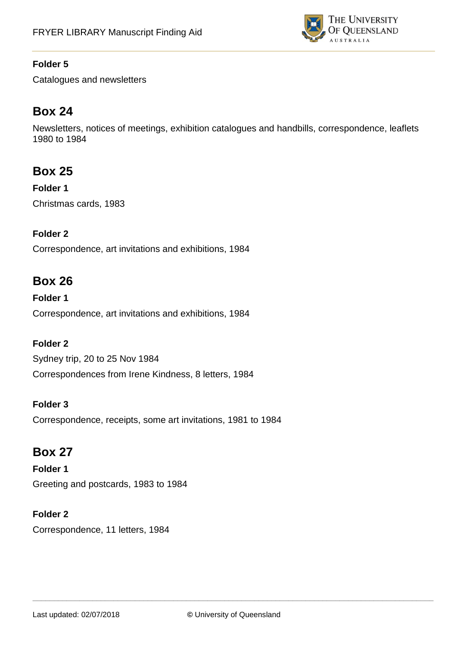

Catalogues and newsletters

# **Box 24**

Newsletters, notices of meetings, exhibition catalogues and handbills, correspondence, leaflets 1980 to 1984

# **Box 25**

**Folder 1** Christmas cards, 1983

## **Folder 2**

Correspondence, art invitations and exhibitions, 1984

# **Box 26**

**Folder 1**  Correspondence, art invitations and exhibitions, 1984

## **Folder 2**

Sydney trip, 20 to 25 Nov 1984 Correspondences from Irene Kindness, 8 letters, 1984

### **Folder 3**

Correspondence, receipts, some art invitations, 1981 to 1984

# **Box 27**

**Folder 1** Greeting and postcards, 1983 to 1984

### **Folder 2**

Correspondence, 11 letters, 1984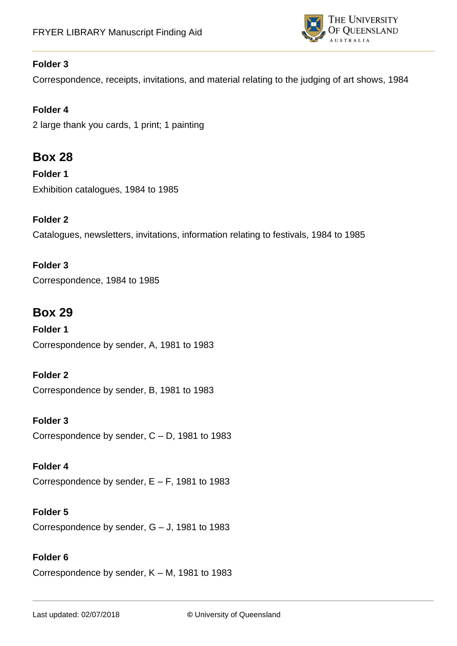

Correspondence, receipts, invitations, and material relating to the judging of art shows, 1984

## **Folder 4**

2 large thank you cards, 1 print; 1 painting

# **Box 28**

**Folder 1** Exhibition catalogues, 1984 to 1985

### **Folder 2**

Catalogues, newsletters, invitations, information relating to festivals, 1984 to 1985

### **Folder 3**

Correspondence, 1984 to 1985

# **Box 29**

**Folder 1** Correspondence by sender, A, 1981 to 1983

## **Folder 2**

Correspondence by sender, B, 1981 to 1983

**Folder 3**  Correspondence by sender, C – D, 1981 to 1983

**Folder 4** Correspondence by sender,  $E - F$ , 1981 to 1983

**Folder 5** Correspondence by sender, G – J, 1981 to 1983

## **Folder 6**

Correspondence by sender, K – M, 1981 to 1983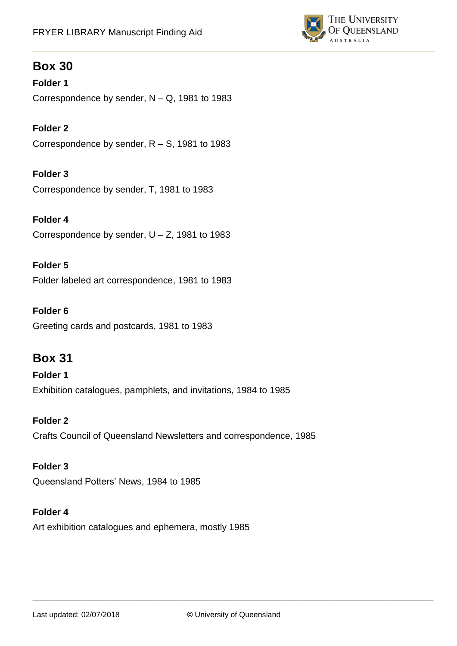

**Folder 1** Correspondence by sender, N – Q, 1981 to 1983

**Folder 2** Correspondence by sender, R – S, 1981 to 1983

**Folder 3** Correspondence by sender, T, 1981 to 1983

**Folder 4** Correspondence by sender,  $U - Z$ , 1981 to 1983

**Folder 5**

Folder labeled art correspondence, 1981 to 1983

#### **Folder 6**

Greeting cards and postcards, 1981 to 1983

# **Box 31**

**Folder 1**  Exhibition catalogues, pamphlets, and invitations, 1984 to 1985

**Folder 2**

Crafts Council of Queensland Newsletters and correspondence, 1985

### **Folder 3**

Queensland Potters' News, 1984 to 1985

#### **Folder 4**

Art exhibition catalogues and ephemera, mostly 1985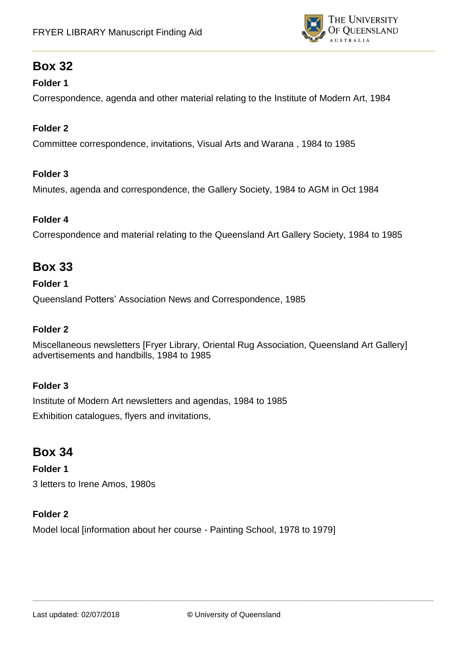

### **Folder 1**

Correspondence, agenda and other material relating to the Institute of Modern Art, 1984

### **Folder 2**

Committee correspondence, invitations, Visual Arts and Warana , 1984 to 1985

### **Folder 3**

Minutes, agenda and correspondence, the Gallery Society, 1984 to AGM in Oct 1984

### **Folder 4**

Correspondence and material relating to the Queensland Art Gallery Society, 1984 to 1985

# **Box 33**

### **Folder 1**

Queensland Potters' Association News and Correspondence, 1985

### **Folder 2**

Miscellaneous newsletters [Fryer Library, Oriental Rug Association, Queensland Art Gallery] advertisements and handbills, 1984 to 1985

## **Folder 3**

Institute of Modern Art newsletters and agendas, 1984 to 1985 Exhibition catalogues, flyers and invitations,

# **Box 34**

**Folder 1** 3 letters to Irene Amos, 1980s

## **Folder 2**

Model local [information about her course - Painting School, 1978 to 1979]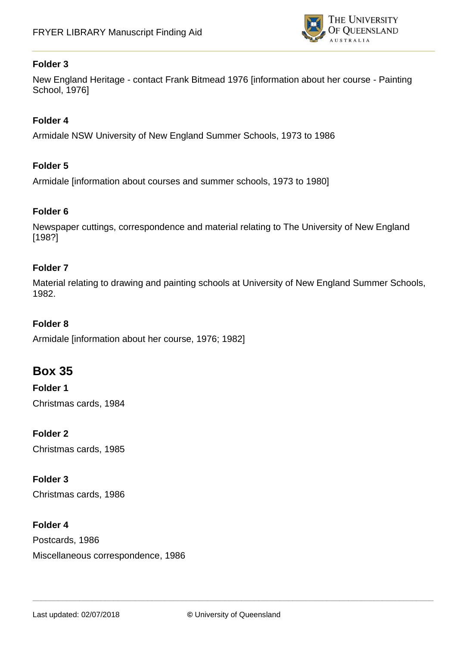

New England Heritage - contact Frank Bitmead 1976 [information about her course - Painting School, 1976]

### **Folder 4**

Armidale NSW University of New England Summer Schools, 1973 to 1986

### **Folder 5**

Armidale [information about courses and summer schools, 1973 to 1980]

### **Folder 6**

Newspaper cuttings, correspondence and material relating to The University of New England [198?]

#### **Folder 7**

Material relating to drawing and painting schools at University of New England Summer Schools, 1982.

#### **Folder 8**

Armidale [information about her course, 1976; 1982]

# **Box 35**

**Folder 1** Christmas cards, 1984

### **Folder 2**

Christmas cards, 1985

#### **Folder 3**

Christmas cards, 1986

#### **Folder 4**

Postcards, 1986 Miscellaneous correspondence, 1986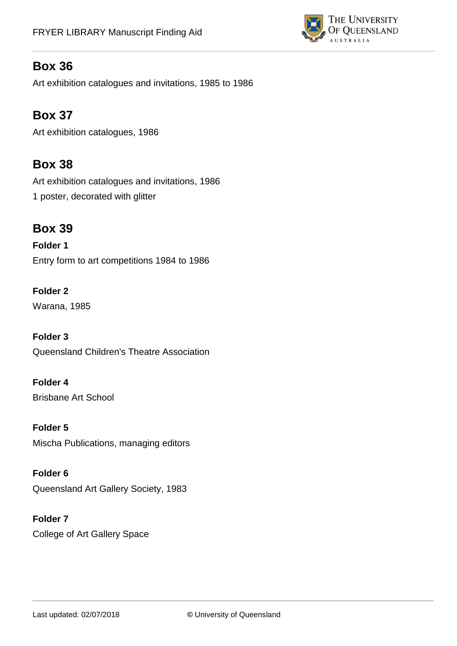

Art exhibition catalogues and invitations, 1985 to 1986

# **Box 37**

Art exhibition catalogues, 1986

# **Box 38**

Art exhibition catalogues and invitations, 1986 1 poster, decorated with glitter

# **Box 39**

**Folder 1** Entry form to art competitions 1984 to 1986

**Folder 2** Warana, 1985

**Folder 3** Queensland Children's Theatre Association

**Folder 4** Brisbane Art School

**Folder 5** Mischa Publications, managing editors

**Folder 6** Queensland Art Gallery Society, 1983

**Folder 7** College of Art Gallery Space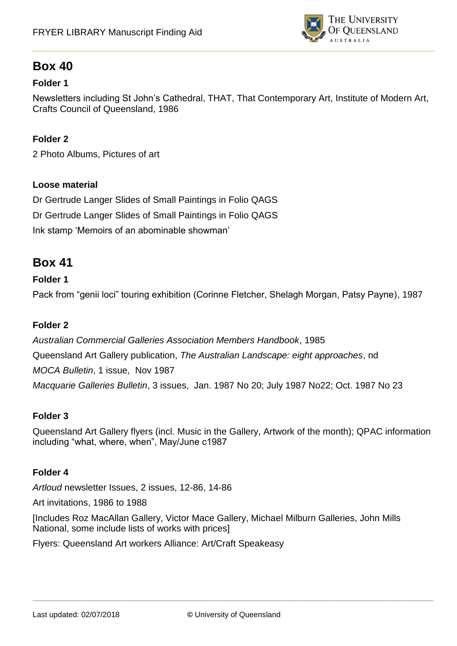

### **Folder 1**

Newsletters including St John's Cathedral, THAT, That Contemporary Art, Institute of Modern Art, Crafts Council of Queensland, 1986

### **Folder 2**

2 Photo Albums, Pictures of art

### **Loose material**

Dr Gertrude Langer Slides of Small Paintings in Folio QAGS Dr Gertrude Langer Slides of Small Paintings in Folio QAGS Ink stamp 'Memoirs of an abominable showman'

## **Box 41**

### **Folder 1**

Pack from "genii loci" touring exhibition (Corinne Fletcher, Shelagh Morgan, Patsy Payne), 1987

### **Folder 2**

*Australian Commercial Galleries Association Members Handbook*, 1985 Queensland Art Gallery publication, *The Australian Landscape: eight approaches*, nd *MOCA Bulletin*, 1 issue, Nov 1987 *Macquarie Galleries Bulletin*, 3 issues, Jan. 1987 No 20; July 1987 No22; Oct. 1987 No 23

#### **Folder 3**

Queensland Art Gallery flyers (incl. Music in the Gallery, Artwork of the month); QPAC information including "what, where, when", May/June c1987

#### **Folder 4**

*Artloud* newsletter Issues, 2 issues, 12-86, 14-86

Art invitations, 1986 to 1988

[Includes Roz MacAllan Gallery, Victor Mace Gallery, Michael Milburn Galleries, John Mills National, some include lists of works with prices]

Flyers: Queensland Art workers Alliance: Art/Craft Speakeasy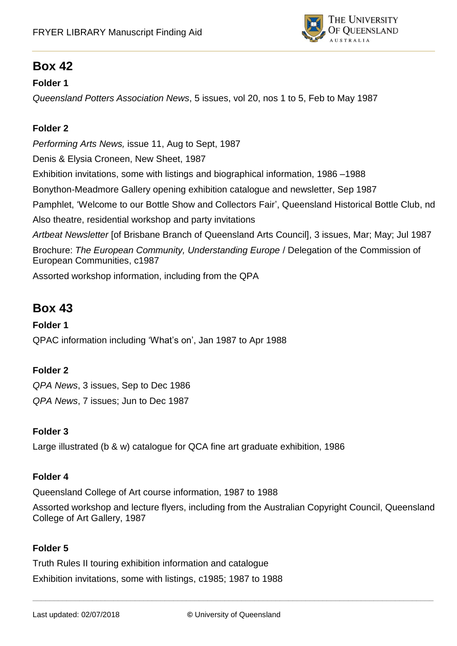

### **Folder 1**

*Queensland Potters Association News*, 5 issues, vol 20, nos 1 to 5, Feb to May 1987

### **Folder 2**

*Performing Arts News,* issue 11, Aug to Sept, 1987 Denis & Elysia Croneen, New Sheet, 1987 Exhibition invitations, some with listings and biographical information, 1986 –1988 Bonython-Meadmore Gallery opening exhibition catalogue and newsletter, Sep 1987 Pamphlet, 'Welcome to our Bottle Show and Collectors Fair', Queensland Historical Bottle Club, nd Also theatre, residential workshop and party invitations *Artbeat Newsletter* [of Brisbane Branch of Queensland Arts Council], 3 issues, Mar; May; Jul 1987 Brochure: *The European Community, Understanding Europe* / Delegation of the Commission of European Communities, c1987 Assorted workshop information, including from the QPA

# **Box 43**

### **Folder 1**

QPAC information including 'What's on', Jan 1987 to Apr 1988

## **Folder 2**

*QPA News*, 3 issues, Sep to Dec 1986 *QPA News*, 7 issues; Jun to Dec 1987

### **Folder 3**

Large illustrated (b & w) catalogue for QCA fine art graduate exhibition, 1986

### **Folder 4**

Queensland College of Art course information, 1987 to 1988

Assorted workshop and lecture flyers, including from the Australian Copyright Council, Queensland College of Art Gallery, 1987

### **Folder 5**

Truth Rules II touring exhibition information and catalogue

Exhibition invitations, some with listings, c1985; 1987 to 1988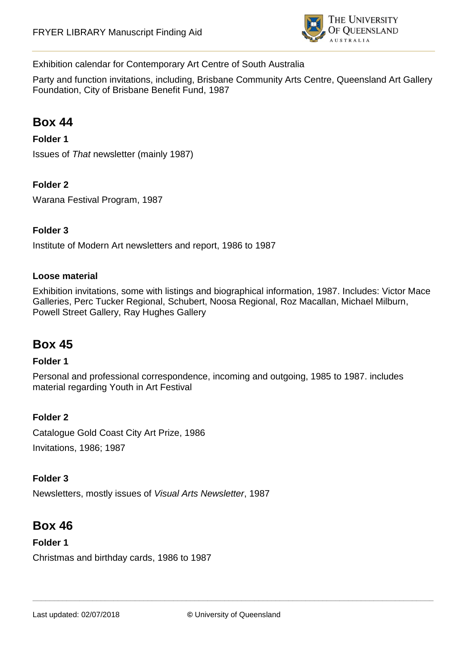

### Exhibition calendar for Contemporary Art Centre of South Australia

Party and function invitations, including, Brisbane Community Arts Centre, Queensland Art Gallery Foundation, City of Brisbane Benefit Fund, 1987

# **Box 44**

### **Folder 1**

Issues of *That* newsletter (mainly 1987)

### **Folder 2**

Warana Festival Program, 1987

#### **Folder 3**

Institute of Modern Art newsletters and report, 1986 to 1987

#### **Loose material**

Exhibition invitations, some with listings and biographical information, 1987. Includes: Victor Mace Galleries, Perc Tucker Regional, Schubert, Noosa Regional, Roz Macallan, Michael Milburn, Powell Street Gallery, Ray Hughes Gallery

# **Box 45**

#### **Folder 1**

Personal and professional correspondence, incoming and outgoing, 1985 to 1987. includes material regarding Youth in Art Festival

#### **Folder 2**

Catalogue Gold Coast City Art Prize, 1986 Invitations, 1986; 1987

#### **Folder 3**

Newsletters, mostly issues of *Visual Arts Newsletter*, 1987

# **Box 46**

#### **Folder 1**

Christmas and birthday cards, 1986 to 1987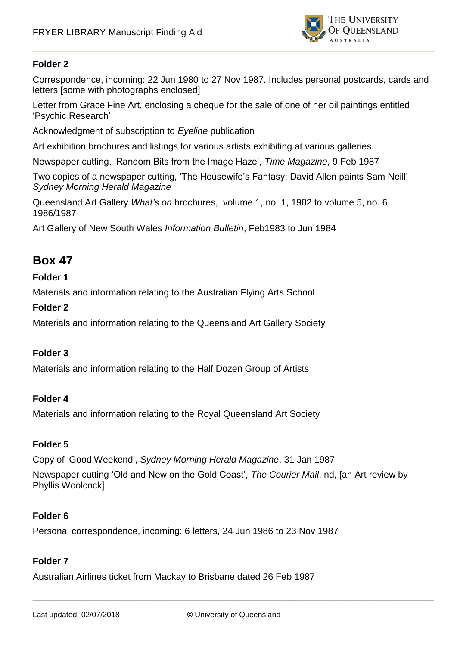

Correspondence, incoming: 22 Jun 1980 to 27 Nov 1987. Includes personal postcards, cards and letters [some with photographs enclosed]

Letter from Grace Fine Art, enclosing a cheque for the sale of one of her oil paintings entitled 'Psychic Research'

Acknowledgment of subscription to *Eyeline* publication

Art exhibition brochures and listings for various artists exhibiting at various galleries.

Newspaper cutting, 'Random Bits from the Image Haze', *Time Magazine*, 9 Feb 1987

Two copies of a newspaper cutting, 'The Housewife's Fantasy: David Allen paints Sam Neill' *Sydney Morning Herald Magazine*

Queensland Art Gallery *What's on* brochures, volume 1, no. 1, 1982 to volume 5, no. 6, 1986/1987

Art Gallery of New South Wales *Information Bulletin*, Feb1983 to Jun 1984

# **Box 47**

#### **Folder 1**

Materials and information relating to the Australian Flying Arts School

#### **Folder 2**

Materials and information relating to the Queensland Art Gallery Society

#### **Folder 3**

Materials and information relating to the Half Dozen Group of Artists

#### **Folder 4**

Materials and information relating to the Royal Queensland Art Society

#### **Folder 5**

Copy of 'Good Weekend', *Sydney Morning Herald Magazine*, 31 Jan 1987

Newspaper cutting 'Old and New on the Gold Coast', *The Courier Mail*, nd, [an Art review by Phyllis Woolcock]

#### **Folder 6**

Personal correspondence, incoming: 6 letters, 24 Jun 1986 to 23 Nov 1987

#### **Folder 7**

Australian Airlines ticket from Mackay to Brisbane dated 26 Feb 1987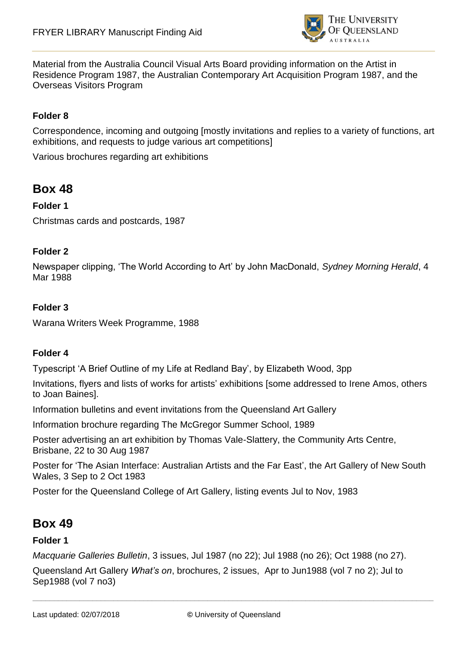

Material from the Australia Council Visual Arts Board providing information on the Artist in Residence Program 1987, the Australian Contemporary Art Acquisition Program 1987, and the Overseas Visitors Program

### **Folder 8**

Correspondence, incoming and outgoing [mostly invitations and replies to a variety of functions, art exhibitions, and requests to judge various art competitions]

Various brochures regarding art exhibitions

# **Box 48**

### **Folder 1**

Christmas cards and postcards, 1987

#### **Folder 2**

Newspaper clipping, 'The World According to Art' by John MacDonald, *Sydney Morning Herald*, 4 Mar 1988

#### **Folder 3**

Warana Writers Week Programme, 1988

#### **Folder 4**

Typescript 'A Brief Outline of my Life at Redland Bay', by Elizabeth Wood, 3pp

Invitations, flyers and lists of works for artists' exhibitions [some addressed to Irene Amos, others to Joan Baines].

Information bulletins and event invitations from the Queensland Art Gallery

Information brochure regarding The McGregor Summer School, 1989

Poster advertising an art exhibition by Thomas Vale-Slattery, the Community Arts Centre, Brisbane, 22 to 30 Aug 1987

Poster for 'The Asian Interface: Australian Artists and the Far East', the Art Gallery of New South Wales, 3 Sep to 2 Oct 1983

Poster for the Queensland College of Art Gallery, listing events Jul to Nov, 1983

## **Box 49**

#### **Folder 1**

*Macquarie Galleries Bulletin*, 3 issues, Jul 1987 (no 22); Jul 1988 (no 26); Oct 1988 (no 27).

Queensland Art Gallery *What's on*, brochures, 2 issues, Apr to Jun1988 (vol 7 no 2); Jul to Sep1988 (vol 7 no3)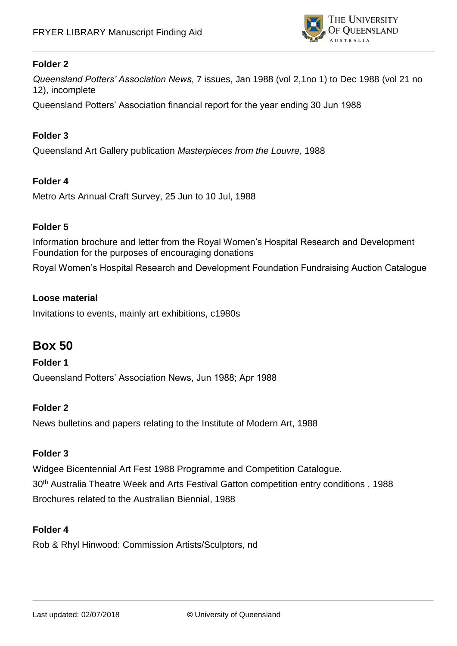

*Queensland Potters' Association News*, 7 issues, Jan 1988 (vol 2,1no 1) to Dec 1988 (vol 21 no 12), incomplete

Queensland Potters' Association financial report for the year ending 30 Jun 1988

### **Folder 3**

Queensland Art Gallery publication *Masterpieces from the Louvre*, 1988

### **Folder 4**

Metro Arts Annual Craft Survey, 25 Jun to 10 Jul, 1988

#### **Folder 5**

Information brochure and letter from the Royal Women's Hospital Research and Development Foundation for the purposes of encouraging donations

Royal Women's Hospital Research and Development Foundation Fundraising Auction Catalogue

### **Loose material**

Invitations to events, mainly art exhibitions, c1980s

# **Box 50**

#### **Folder 1**

Queensland Potters' Association News, Jun 1988; Apr 1988

#### **Folder 2**

News bulletins and papers relating to the Institute of Modern Art, 1988

#### **Folder 3**

Widgee Bicentennial Art Fest 1988 Programme and Competition Catalogue. 30th Australia Theatre Week and Arts Festival Gatton competition entry conditions , 1988 Brochures related to the Australian Biennial, 1988

#### **Folder 4**

Rob & Rhyl Hinwood: Commission Artists/Sculptors, nd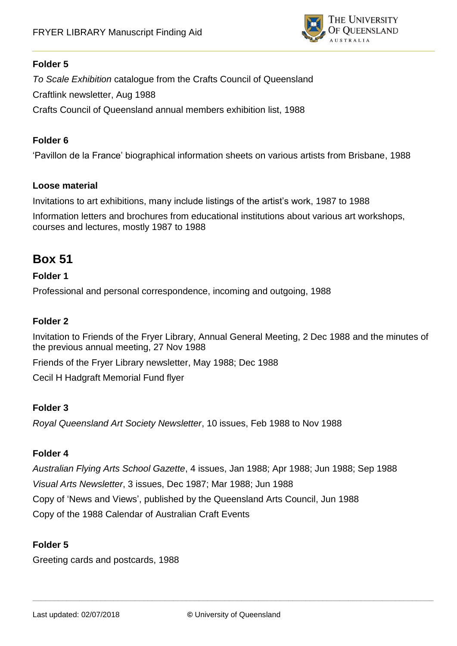

*To Scale Exhibition* catalogue from the Crafts Council of Queensland Craftlink newsletter, Aug 1988 Crafts Council of Queensland annual members exhibition list, 1988

#### **Folder 6**

'Pavillon de la France' biographical information sheets on various artists from Brisbane, 1988

#### **Loose material**

Invitations to art exhibitions, many include listings of the artist's work, 1987 to 1988

Information letters and brochures from educational institutions about various art workshops, courses and lectures, mostly 1987 to 1988

# **Box 51**

#### **Folder 1**

Professional and personal correspondence, incoming and outgoing, 1988

### **Folder 2**

Invitation to Friends of the Fryer Library, Annual General Meeting, 2 Dec 1988 and the minutes of the previous annual meeting, 27 Nov 1988

Friends of the Fryer Library newsletter, May 1988; Dec 1988

Cecil H Hadgraft Memorial Fund flyer

#### **Folder 3**

*Royal Queensland Art Society Newsletter*, 10 issues, Feb 1988 to Nov 1988

#### **Folder 4**

*Australian Flying Arts School Gazette*, 4 issues, Jan 1988; Apr 1988; Jun 1988; Sep 1988 *Visual Arts Newsletter*, 3 issues, Dec 1987; Mar 1988; Jun 1988 Copy of 'News and Views', published by the Queensland Arts Council, Jun 1988 Copy of the 1988 Calendar of Australian Craft Events

#### **Folder 5**

Greeting cards and postcards, 1988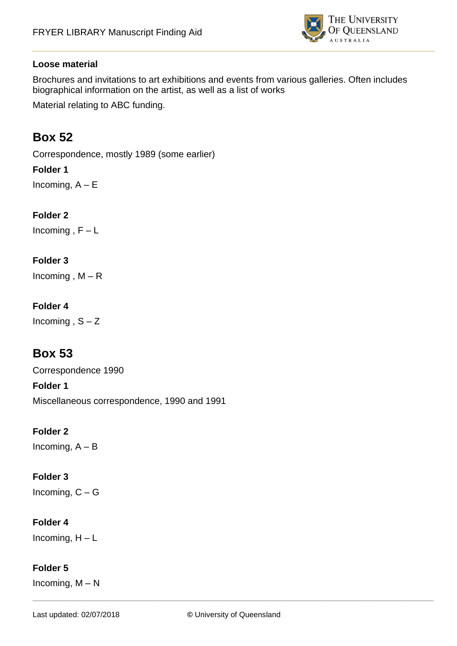

### **Loose material**

Brochures and invitations to art exhibitions and events from various galleries. Often includes biographical information on the artist, as well as a list of works

Material relating to ABC funding.

# **Box 52**

Correspondence, mostly 1989 (some earlier)

### **Folder 1**

Incoming,  $A - E$ 

### **Folder 2**

Incoming,  $F - L$ 

### **Folder 3**

Incoming,  $M - R$ 

### **Folder 4**

Incoming,  $S - Z$ 

# **Box 53**

Correspondence 1990 **Folder 1** Miscellaneous correspondence, 1990 and 1991

### **Folder 2**

Incoming,  $A - B$ 

## **Folder 3**

Incoming,  $C - G$ 

### **Folder 4**

Incoming,  $H - L$ 

### **Folder 5**

Incoming,  $M - N$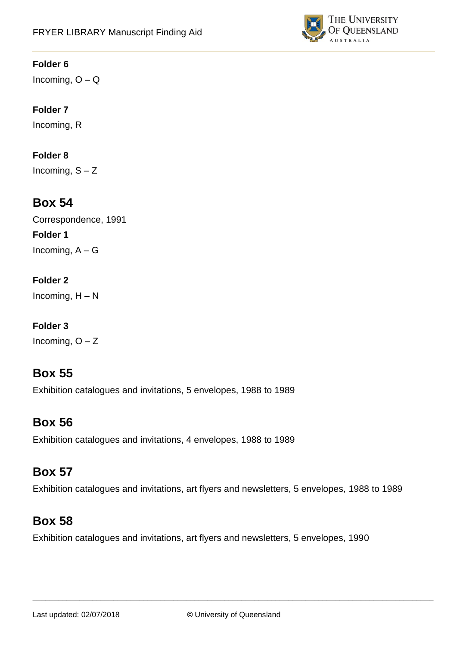

Incoming,  $O - Q$ 

## **Folder 7**

Incoming, R

## **Folder 8**

Incoming,  $S - Z$ 

# **Box 54**

Correspondence, 1991 **Folder 1** Incoming,  $A - G$ 

## **Folder 2**

Incoming,  $H - N$ 

# **Folder 3**

Incoming,  $O - Z$ 

# **Box 55**

Exhibition catalogues and invitations, 5 envelopes, 1988 to 1989

# **Box 56**

Exhibition catalogues and invitations, 4 envelopes, 1988 to 1989

# **Box 57**

Exhibition catalogues and invitations, art flyers and newsletters, 5 envelopes, 1988 to 1989

# **Box 58**

Exhibition catalogues and invitations, art flyers and newsletters, 5 envelopes, 1990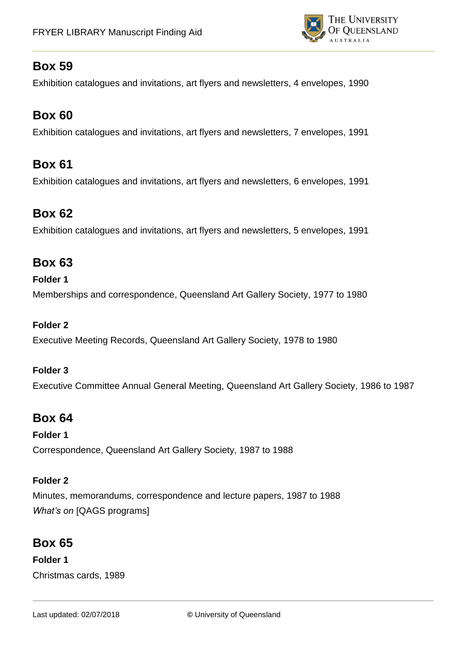

Exhibition catalogues and invitations, art flyers and newsletters, 4 envelopes, 1990

# **Box 60**

Exhibition catalogues and invitations, art flyers and newsletters, 7 envelopes, 1991

# **Box 61**

Exhibition catalogues and invitations, art flyers and newsletters, 6 envelopes, 1991

# **Box 62**

Exhibition catalogues and invitations, art flyers and newsletters, 5 envelopes, 1991

# **Box 63**

### **Folder 1**

Memberships and correspondence, Queensland Art Gallery Society, 1977 to 1980

### **Folder 2**

Executive Meeting Records, Queensland Art Gallery Society, 1978 to 1980

### **Folder 3**

Executive Committee Annual General Meeting, Queensland Art Gallery Society, 1986 to 1987

# **Box 64**

# **Folder 1**

Correspondence, Queensland Art Gallery Society, 1987 to 1988

### **Folder 2**

Minutes, memorandums, correspondence and lecture papers, 1987 to 1988 *What's on* [QAGS programs]

# **Box 65**

**Folder 1** Christmas cards, 1989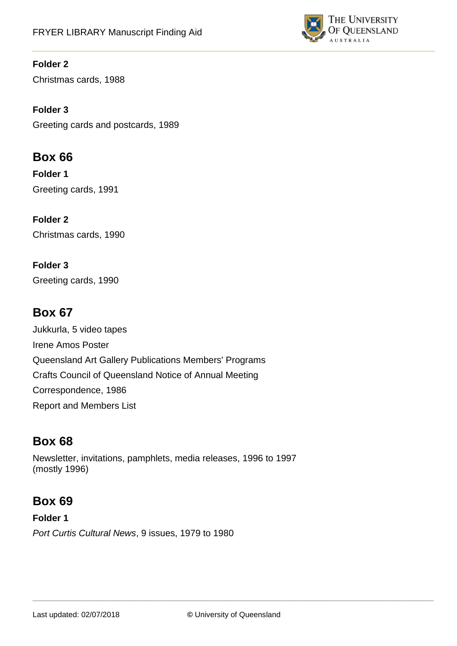

Christmas cards, 1988

**Folder 3** Greeting cards and postcards, 1989

# **Box 66**

**Folder 1**  Greeting cards, 1991

**Folder 2** Christmas cards, 1990

**Folder 3** Greeting cards, 1990

# **Box 67**

Jukkurla, 5 video tapes Irene Amos Poster Queensland Art Gallery Publications Members' Programs Crafts Council of Queensland Notice of Annual Meeting Correspondence, 1986 Report and Members List

# **Box 68**

Newsletter, invitations, pamphlets, media releases, 1996 to 1997 (mostly 1996)

# **Box 69**

**Folder 1** *Port Curtis Cultural News*, 9 issues, 1979 to 1980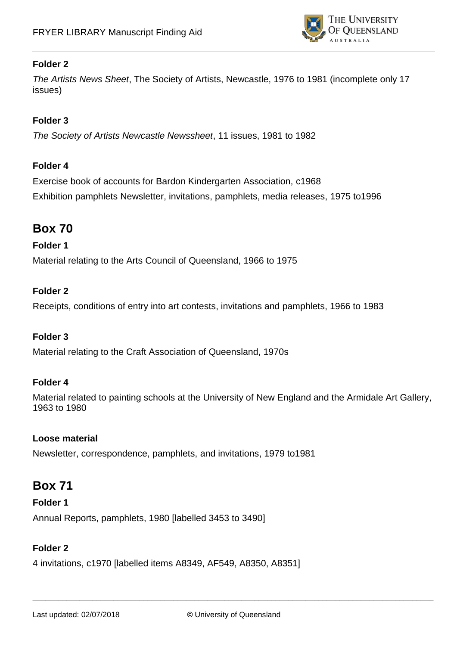

*The Artists News Sheet*, The Society of Artists, Newcastle, 1976 to 1981 (incomplete only 17 issues)

### **Folder 3**

*The Society of Artists Newcastle Newssheet*, 11 issues, 1981 to 1982

#### **Folder 4**

Exercise book of accounts for Bardon Kindergarten Association, c1968 Exhibition pamphlets Newsletter, invitations, pamphlets, media releases, 1975 to1996

# **Box 70**

### **Folder 1**

Material relating to the Arts Council of Queensland, 1966 to 1975

### **Folder 2**

Receipts, conditions of entry into art contests, invitations and pamphlets, 1966 to 1983

#### **Folder 3**

Material relating to the Craft Association of Queensland, 1970s

#### **Folder 4**

Material related to painting schools at the University of New England and the Armidale Art Gallery, 1963 to 1980

#### **Loose material**

Newsletter, correspondence, pamphlets, and invitations, 1979 to1981

## **Box 71**

**Folder 1** Annual Reports, pamphlets, 1980 [labelled 3453 to 3490]

#### **Folder 2**

4 invitations, c1970 [labelled items A8349, AF549, A8350, A8351]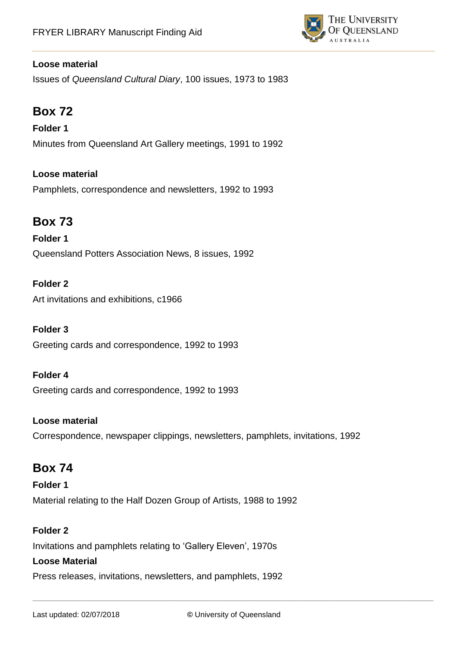

### **Loose material**

Issues of *Queensland Cultural Diary*, 100 issues, 1973 to 1983

# **Box 72**

**Folder 1** Minutes from Queensland Art Gallery meetings, 1991 to 1992

### **Loose material**

Pamphlets, correspondence and newsletters, 1992 to 1993

# **Box 73**

**Folder 1** Queensland Potters Association News, 8 issues, 1992

### **Folder 2**

Art invitations and exhibitions, c1966

#### **Folder 3**

Greeting cards and correspondence, 1992 to 1993

#### **Folder 4**

Greeting cards and correspondence, 1992 to 1993

#### **Loose material**

Correspondence, newspaper clippings, newsletters, pamphlets, invitations, 1992

# **Box 74**

**Folder 1** Material relating to the Half Dozen Group of Artists, 1988 to 1992

### **Folder 2**

Invitations and pamphlets relating to 'Gallery Eleven', 1970s

#### **Loose Material**

Press releases, invitations, newsletters, and pamphlets, 1992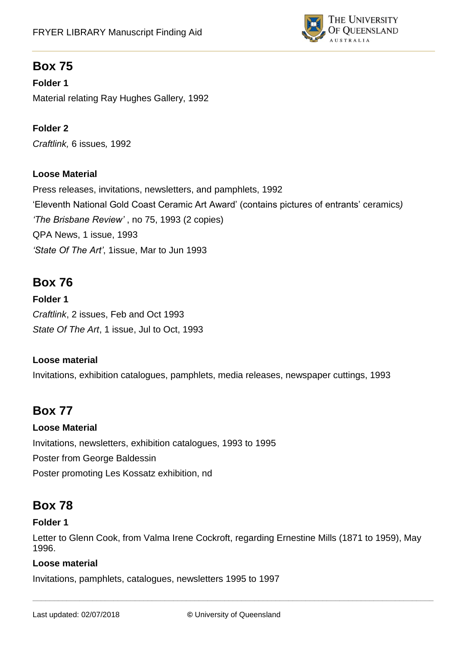

**Folder 1** Material relating Ray Hughes Gallery, 1992

**Folder 2** *Craftlink,* 6 issues*,* 1992

### **Loose Material**

Press releases, invitations, newsletters, and pamphlets, 1992 'Eleventh National Gold Coast Ceramic Art Award' (contains pictures of entrants' ceramics*) 'The Brisbane Review'* , no 75, 1993 (2 copies) QPA News, 1 issue, 1993 *'State Of The Art'*, 1issue, Mar to Jun 1993

# **Box 76**

**Folder 1**  *Craftlink*, 2 issues, Feb and Oct 1993 *State Of The Art*, 1 issue, Jul to Oct, 1993

### **Loose material**

Invitations, exhibition catalogues, pamphlets, media releases, newspaper cuttings, 1993

# **Box 77**

### **Loose Material**

Invitations, newsletters, exhibition catalogues, 1993 to 1995 Poster from George Baldessin Poster promoting Les Kossatz exhibition, nd

# **Box 78**

### **Folder 1**

Letter to Glenn Cook, from Valma Irene Cockroft, regarding Ernestine Mills (1871 to 1959), May 1996.

### **Loose material**

Invitations, pamphlets, catalogues, newsletters 1995 to 1997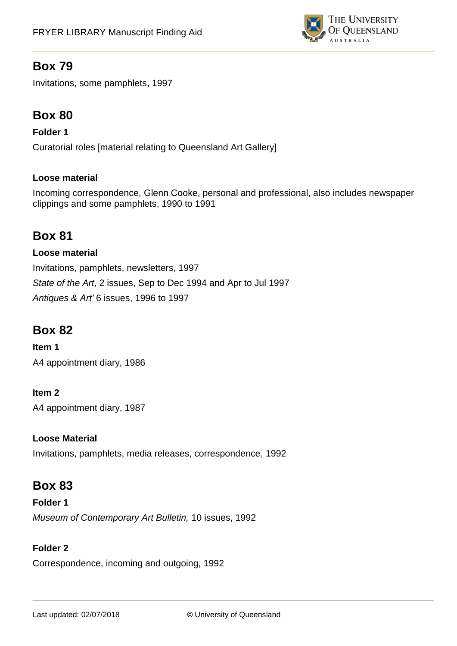

Invitations, some pamphlets, 1997

# **Box 80**

### **Folder 1**

Curatorial roles [material relating to Queensland Art Gallery]

### **Loose material**

Incoming correspondence, Glenn Cooke, personal and professional, also includes newspaper clippings and some pamphlets, 1990 to 1991

# **Box 81**

### **Loose material**

Invitations, pamphlets, newsletters, 1997 *State of the Art*, 2 issues, Sep to Dec 1994 and Apr to Jul 1997 *Antiques & Art'* 6 issues, 1996 to 1997

# **Box 82**

**Item 1**  A4 appointment diary, 1986

## **Item 2**

A4 appointment diary, 1987

### **Loose Material**

Invitations, pamphlets, media releases, correspondence, 1992

# **Box 83**

**Folder 1** *Museum of Contemporary Art Bulletin,* 10 issues, 1992

### **Folder 2**

Correspondence, incoming and outgoing, 1992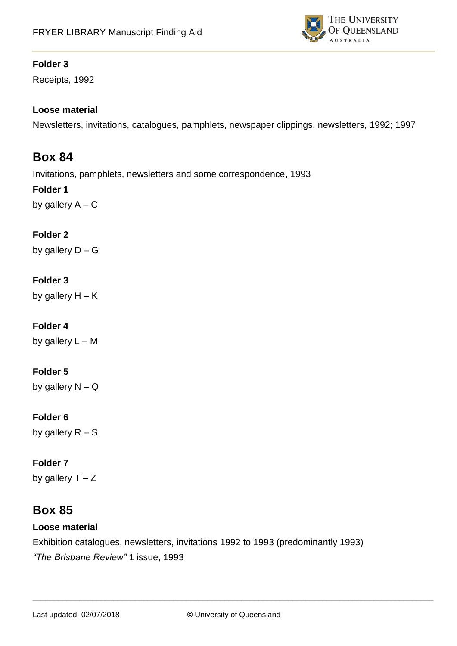

Receipts, 1992

### **Loose material**

Newsletters, invitations, catalogues, pamphlets, newspaper clippings, newsletters, 1992; 1997

## **Box 84**

Invitations, pamphlets, newsletters and some correspondence, 1993

## **Folder 1**

by gallery  $A - C$ 

## **Folder 2**

by gallery  $D - G$ 

### **Folder 3**

by gallery  $H - K$ 

## **Folder 4**

by gallery  $L - M$ 

### **Folder 5**

by gallery  $N - Q$ 

### **Folder 6**

by gallery  $R - S$ 

### **Folder 7**

by gallery  $T - Z$ 

# **Box 85**

### **Loose material**

Exhibition catalogues, newsletters, invitations 1992 to 1993 (predominantly 1993) *"The Brisbane Review"* 1 issue, 1993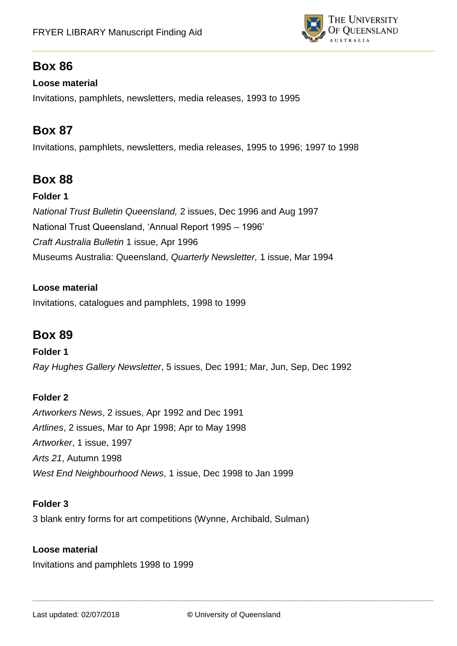

## **Loose material**

Invitations, pamphlets, newsletters, media releases, 1993 to 1995

# **Box 87**

Invitations, pamphlets, newsletters, media releases, 1995 to 1996; 1997 to 1998

# **Box 88**

### **Folder 1**

*National Trust Bulletin Queensland,* 2 issues, Dec 1996 and Aug 1997 National Trust Queensland, 'Annual Report 1995 – 1996' *Craft Australia Bulletin* 1 issue, Apr 1996 Museums Australia: Queensland, *Quarterly Newsletter,* 1 issue, Mar 1994

### **Loose material**

Invitations, catalogues and pamphlets, 1998 to 1999

# **Box 89**

#### **Folder 1**

*Ray Hughes Gallery Newsletter*, 5 issues, Dec 1991; Mar, Jun, Sep, Dec 1992

## **Folder 2**

*Artworkers News*, 2 issues, Apr 1992 and Dec 1991 *Artlines*, 2 issues, Mar to Apr 1998; Apr to May 1998 *Artworker*, 1 issue, 1997 *Arts 21*, Autumn 1998 *West End Neighbourhood News*, 1 issue, Dec 1998 to Jan 1999

### **Folder 3**

3 blank entry forms for art competitions (Wynne, Archibald, Sulman)

### **Loose material**

Invitations and pamphlets 1998 to 1999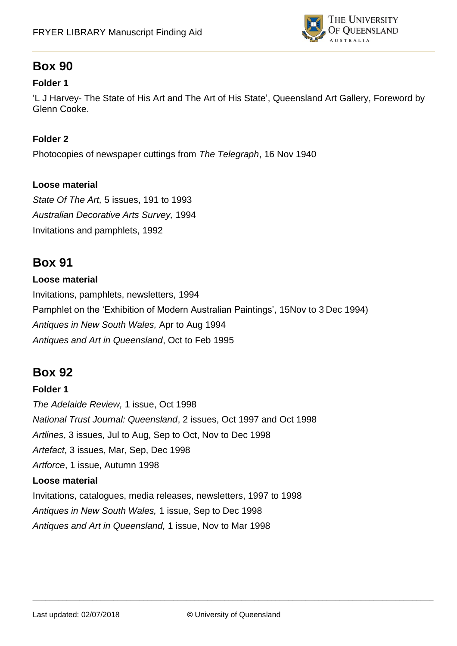

### **Folder 1**

'L J Harvey- The State of His Art and The Art of His State', Queensland Art Gallery, Foreword by Glenn Cooke.

### **Folder 2**

Photocopies of newspaper cuttings from *The Telegraph*, 16 Nov 1940

### **Loose material**

*State Of The Art,* 5 issues, 191 to 1993 *Australian Decorative Arts Survey,* 1994 Invitations and pamphlets, 1992

# **Box 91**

### **Loose material**

Invitations, pamphlets, newsletters, 1994 Pamphlet on the 'Exhibition of Modern Australian Paintings', 15Nov to 3 Dec 1994) *Antiques in New South Wales,* Apr to Aug 1994 *Antiques and Art in Queensland*, Oct to Feb 1995

# **Box 92**

### **Folder 1**

*The Adelaide Review,* 1 issue, Oct 1998 *National Trust Journal: Queensland*, 2 issues, Oct 1997 and Oct 1998 *Artlines*, 3 issues, Jul to Aug, Sep to Oct, Nov to Dec 1998 *Artefact*, 3 issues, Mar, Sep, Dec 1998 *Artforce*, 1 issue, Autumn 1998 **Loose material**  Invitations, catalogues, media releases, newsletters, 1997 to 1998 *Antiques in New South Wales,* 1 issue, Sep to Dec 1998 *Antiques and Art in Queensland,* 1 issue, Nov to Mar 1998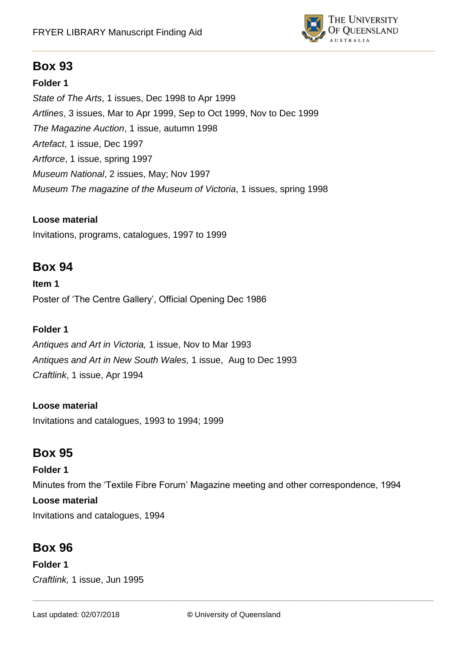

### **Folder 1**

*State of The Arts*, 1 issues, Dec 1998 to Apr 1999 *Artlines*, 3 issues, Mar to Apr 1999, Sep to Oct 1999, Nov to Dec 1999 *The Magazine Auction*, 1 issue, autumn 1998 *Artefact*, 1 issue, Dec 1997 *Artforce*, 1 issue, spring 1997 *Museum National*, 2 issues, May; Nov 1997 *Museum The magazine of the Museum of Victoria*, 1 issues, spring 1998

### **Loose material**

Invitations, programs, catalogues, 1997 to 1999

# **Box 94**

**Item 1**  Poster of 'The Centre Gallery', Official Opening Dec 1986

### **Folder 1**

*Antiques and Art in Victoria,* 1 issue, Nov to Mar 1993 *Antiques and Art in New South Wales,* 1 issue, Aug to Dec 1993 *Craftlink*, 1 issue, Apr 1994

### **Loose material**

Invitations and catalogues, 1993 to 1994; 1999

# **Box 95**

#### **Folder 1**

Minutes from the 'Textile Fibre Forum' Magazine meeting and other correspondence, 1994 **Loose material**  Invitations and catalogues, 1994

# **Box 96**

**Folder 1**  *Craftlink,* 1 issue, Jun 1995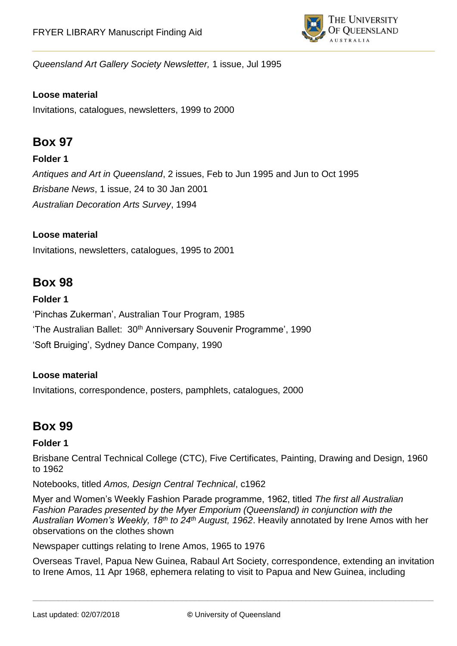

*Queensland Art Gallery Society Newsletter,* 1 issue, Jul 1995

### **Loose material**

Invitations, catalogues, newsletters, 1999 to 2000

# **Box 97**

### **Folder 1**

*Antiques and Art in Queensland*, 2 issues, Feb to Jun 1995 and Jun to Oct 1995 *Brisbane News*, 1 issue, 24 to 30 Jan 2001 *Australian Decoration Arts Survey*, 1994

### **Loose material**

Invitations, newsletters, catalogues, 1995 to 2001

# **Box 98**

#### **Folder 1**

'Pinchas Zukerman', Australian Tour Program, 1985 'The Australian Ballet: 30<sup>th</sup> Anniversary Souvenir Programme', 1990 'Soft Bruiging', Sydney Dance Company, 1990

#### **Loose material**

Invitations, correspondence, posters, pamphlets, catalogues, 2000

# **Box 99**

#### **Folder 1**

Brisbane Central Technical College (CTC), Five Certificates, Painting, Drawing and Design, 1960 to 1962

Notebooks, titled *Amos, Design Central Technical*, c1962

Myer and Women's Weekly Fashion Parade programme, 1962, titled *The first all Australian Fashion Parades presented by the Myer Emporium (Queensland) in conjunction with the Australian Women's Weekly, 18th to 24th August, 1962*. Heavily annotated by Irene Amos with her observations on the clothes shown

Newspaper cuttings relating to Irene Amos, 1965 to 1976

Overseas Travel, Papua New Guinea, Rabaul Art Society, correspondence, extending an invitation to Irene Amos, 11 Apr 1968, ephemera relating to visit to Papua and New Guinea, including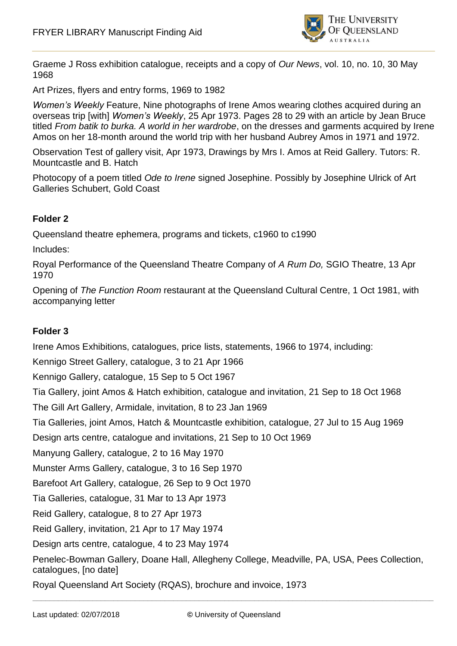

Graeme J Ross exhibition catalogue, receipts and a copy of *Our News*, vol. 10, no. 10, 30 May 1968

Art Prizes, flyers and entry forms, 1969 to 1982

*Women's Weekly* Feature, Nine photographs of Irene Amos wearing clothes acquired during an overseas trip [with] *Women's Weekly*, 25 Apr 1973. Pages 28 to 29 with an article by Jean Bruce titled *From batik to burka. A world in her wardrobe*, on the dresses and garments acquired by Irene Amos on her 18-month around the world trip with her husband Aubrey Amos in 1971 and 1972.

Observation Test of gallery visit, Apr 1973, Drawings by Mrs I. Amos at Reid Gallery. Tutors: R. Mountcastle and B. Hatch

Photocopy of a poem titled *Ode to Irene* signed Josephine. Possibly by Josephine Ulrick of Art Galleries Schubert, Gold Coast

### **Folder 2**

Queensland theatre ephemera, programs and tickets, c1960 to c1990

Includes:

Royal Performance of the Queensland Theatre Company of *A Rum Do,* SGIO Theatre, 13 Apr 1970

Opening of *The Function Room* restaurant at the Queensland Cultural Centre, 1 Oct 1981, with accompanying letter

#### **Folder 3**

Irene Amos Exhibitions, catalogues, price lists, statements, 1966 to 1974, including:

Kennigo Street Gallery, catalogue, 3 to 21 Apr 1966

Kennigo Gallery, catalogue, 15 Sep to 5 Oct 1967

Tia Gallery, joint Amos & Hatch exhibition, catalogue and invitation, 21 Sep to 18 Oct 1968

The Gill Art Gallery, Armidale, invitation, 8 to 23 Jan 1969

Tia Galleries, joint Amos, Hatch & Mountcastle exhibition, catalogue, 27 Jul to 15 Aug 1969

Design arts centre, catalogue and invitations, 21 Sep to 10 Oct 1969

Manyung Gallery, catalogue, 2 to 16 May 1970

Munster Arms Gallery, catalogue, 3 to 16 Sep 1970

Barefoot Art Gallery, catalogue, 26 Sep to 9 Oct 1970

Tia Galleries, catalogue, 31 Mar to 13 Apr 1973

Reid Gallery, catalogue, 8 to 27 Apr 1973

Reid Gallery, invitation, 21 Apr to 17 May 1974

Design arts centre, catalogue, 4 to 23 May 1974

Penelec-Bowman Gallery, Doane Hall, Allegheny College, Meadville, PA, USA, Pees Collection, catalogues, [no date]

Royal Queensland Art Society (RQAS), brochure and invoice, 1973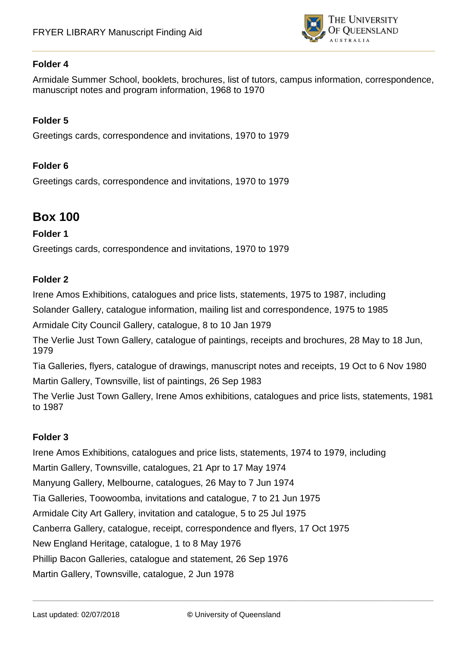

Armidale Summer School, booklets, brochures, list of tutors, campus information, correspondence, manuscript notes and program information, 1968 to 1970

### **Folder 5**

Greetings cards, correspondence and invitations, 1970 to 1979

### **Folder 6**

Greetings cards, correspondence and invitations, 1970 to 1979

# **Box 100**

#### **Folder 1**

Greetings cards, correspondence and invitations, 1970 to 1979

#### **Folder 2**

Irene Amos Exhibitions, catalogues and price lists, statements, 1975 to 1987, including

Solander Gallery, catalogue information, mailing list and correspondence, 1975 to 1985

Armidale City Council Gallery, catalogue, 8 to 10 Jan 1979

The Verlie Just Town Gallery, catalogue of paintings, receipts and brochures, 28 May to 18 Jun, 1979

Tia Galleries, flyers, catalogue of drawings, manuscript notes and receipts, 19 Oct to 6 Nov 1980 Martin Gallery, Townsville, list of paintings, 26 Sep 1983

The Verlie Just Town Gallery, Irene Amos exhibitions, catalogues and price lists, statements, 1981 to 1987

#### **Folder 3**

Irene Amos Exhibitions, catalogues and price lists, statements, 1974 to 1979, including Martin Gallery, Townsville, catalogues, 21 Apr to 17 May 1974 Manyung Gallery, Melbourne, catalogues, 26 May to 7 Jun 1974 Tia Galleries, Toowoomba, invitations and catalogue, 7 to 21 Jun 1975 Armidale City Art Gallery, invitation and catalogue, 5 to 25 Jul 1975 Canberra Gallery, catalogue, receipt, correspondence and flyers, 17 Oct 1975 New England Heritage, catalogue, 1 to 8 May 1976 Phillip Bacon Galleries, catalogue and statement, 26 Sep 1976 Martin Gallery, Townsville, catalogue, 2 Jun 1978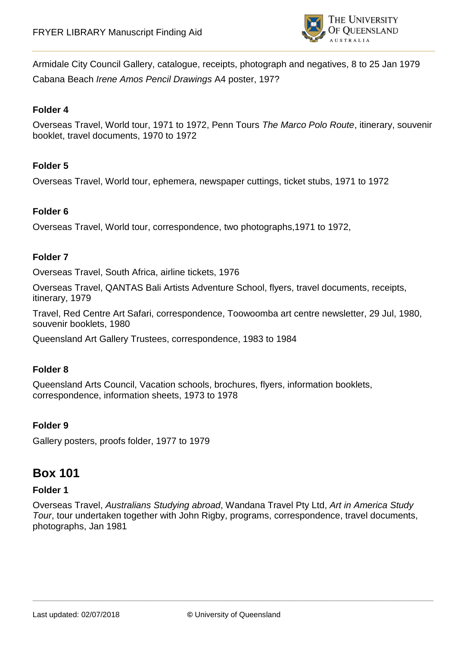

Armidale City Council Gallery, catalogue, receipts, photograph and negatives, 8 to 25 Jan 1979 Cabana Beach *Irene Amos Pencil Drawings* A4 poster, 197?

#### **Folder 4**

Overseas Travel, World tour, 1971 to 1972, Penn Tours *The Marco Polo Route*, itinerary, souvenir booklet, travel documents, 1970 to 1972

### **Folder 5**

Overseas Travel, World tour, ephemera, newspaper cuttings, ticket stubs, 1971 to 1972

### **Folder 6**

Overseas Travel, World tour, correspondence, two photographs,1971 to 1972,

#### **Folder 7**

Overseas Travel, South Africa, airline tickets, 1976

Overseas Travel, QANTAS Bali Artists Adventure School, flyers, travel documents, receipts, itinerary, 1979

Travel, Red Centre Art Safari, correspondence, Toowoomba art centre newsletter, 29 Jul, 1980, souvenir booklets, 1980

Queensland Art Gallery Trustees, correspondence, 1983 to 1984

#### **Folder 8**

Queensland Arts Council, Vacation schools, brochures, flyers, information booklets, correspondence, information sheets, 1973 to 1978

#### **Folder 9**

Gallery posters, proofs folder, 1977 to 1979

# **Box 101**

#### **Folder 1**

Overseas Travel, *Australians Studying abroad*, Wandana Travel Pty Ltd, *Art in America Study Tour*, tour undertaken together with John Rigby, programs, correspondence, travel documents, photographs, Jan 1981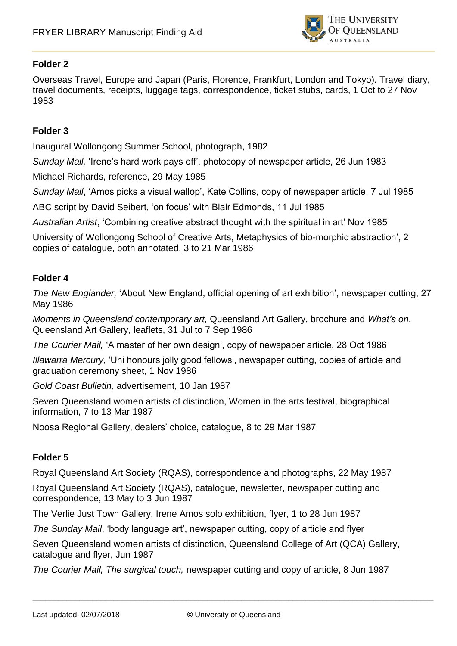

Overseas Travel, Europe and Japan (Paris, Florence, Frankfurt, London and Tokyo). Travel diary, travel documents, receipts, luggage tags, correspondence, ticket stubs, cards, 1 Oct to 27 Nov 1983

#### **Folder 3**

Inaugural Wollongong Summer School, photograph, 1982

*Sunday Mail,* 'Irene's hard work pays off', photocopy of newspaper article, 26 Jun 1983

Michael Richards, reference, 29 May 1985

*Sunday Mail*, 'Amos picks a visual wallop', Kate Collins, copy of newspaper article, 7 Jul 1985

ABC script by David Seibert, 'on focus' with Blair Edmonds, 11 Jul 1985

*Australian Artist*, 'Combining creative abstract thought with the spiritual in art' Nov 1985

University of Wollongong School of Creative Arts, Metaphysics of bio-morphic abstraction', 2 copies of catalogue, both annotated, 3 to 21 Mar 1986

#### **Folder 4**

*The New Englander,* 'About New England, official opening of art exhibition', newspaper cutting, 27 May 1986

*Moments in Queensland contemporary art,* Queensland Art Gallery, brochure and *What's on*, Queensland Art Gallery, leaflets, 31 Jul to 7 Sep 1986

*The Courier Mail,* 'A master of her own design', copy of newspaper article, 28 Oct 1986

*Illawarra Mercury,* 'Uni honours jolly good fellows', newspaper cutting, copies of article and graduation ceremony sheet, 1 Nov 1986

*Gold Coast Bulletin,* advertisement, 10 Jan 1987

Seven Queensland women artists of distinction, Women in the arts festival, biographical information, 7 to 13 Mar 1987

Noosa Regional Gallery, dealers' choice, catalogue, 8 to 29 Mar 1987

#### **Folder 5**

Royal Queensland Art Society (RQAS), correspondence and photographs, 22 May 1987

Royal Queensland Art Society (RQAS), catalogue, newsletter, newspaper cutting and correspondence, 13 May to 3 Jun 1987

The Verlie Just Town Gallery, Irene Amos solo exhibition, flyer, 1 to 28 Jun 1987

*The Sunday Mail*, 'body language art', newspaper cutting, copy of article and flyer

Seven Queensland women artists of distinction, Queensland College of Art (QCA) Gallery, catalogue and flyer, Jun 1987

*The Courier Mail, The surgical touch,* newspaper cutting and copy of article, 8 Jun 1987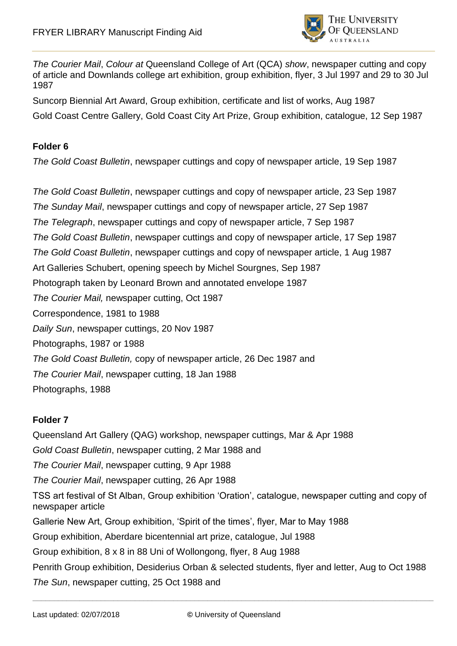

*The Courier Mail*, *Colour at* Queensland College of Art (QCA) *show*, newspaper cutting and copy of article and Downlands college art exhibition, group exhibition, flyer, 3 Jul 1997 and 29 to 30 Jul 1987

Suncorp Biennial Art Award, Group exhibition, certificate and list of works, Aug 1987 Gold Coast Centre Gallery, Gold Coast City Art Prize, Group exhibition, catalogue, 12 Sep 1987

## **Folder 6**

*The Gold Coast Bulletin*, newspaper cuttings and copy of newspaper article, 19 Sep 1987

*The Gold Coast Bulletin*, newspaper cuttings and copy of newspaper article, 23 Sep 1987 *The Sunday Mail*, newspaper cuttings and copy of newspaper article, 27 Sep 1987 *The Telegraph*, newspaper cuttings and copy of newspaper article, 7 Sep 1987 *The Gold Coast Bulletin*, newspaper cuttings and copy of newspaper article, 17 Sep 1987 *The Gold Coast Bulletin*, newspaper cuttings and copy of newspaper article, 1 Aug 1987 Art Galleries Schubert, opening speech by Michel Sourgnes, Sep 1987 Photograph taken by Leonard Brown and annotated envelope 1987 *The Courier Mail,* newspaper cutting, Oct 1987 Correspondence, 1981 to 1988 *Daily Sun*, newspaper cuttings, 20 Nov 1987 Photographs, 1987 or 1988 *The Gold Coast Bulletin,* copy of newspaper article, 26 Dec 1987 and *The Courier Mail*, newspaper cutting, 18 Jan 1988 Photographs, 1988

## **Folder 7**

Queensland Art Gallery (QAG) workshop, newspaper cuttings, Mar & Apr 1988 *Gold Coast Bulletin*, newspaper cutting, 2 Mar 1988 and *The Courier Mail*, newspaper cutting, 9 Apr 1988 *The Courier Mail*, newspaper cutting, 26 Apr 1988 TSS art festival of St Alban, Group exhibition 'Oration', catalogue, newspaper cutting and copy of newspaper article Gallerie New Art, Group exhibition, 'Spirit of the times', flyer, Mar to May 1988 Group exhibition, Aberdare bicentennial art prize, catalogue, Jul 1988 Group exhibition, 8 x 8 in 88 Uni of Wollongong, flyer, 8 Aug 1988 Penrith Group exhibition, Desiderius Orban & selected students, flyer and letter, Aug to Oct 1988 *The Sun*, newspaper cutting, 25 Oct 1988 and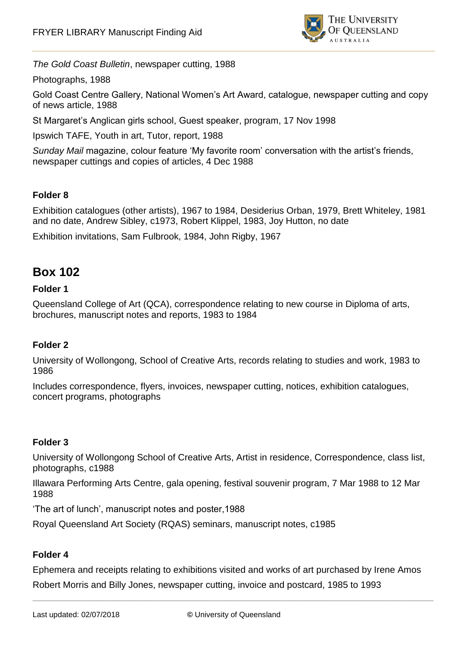

*The Gold Coast Bulletin*, newspaper cutting, 1988

Photographs, 1988

Gold Coast Centre Gallery, National Women's Art Award, catalogue, newspaper cutting and copy of news article, 1988

St Margaret's Anglican girls school, Guest speaker, program, 17 Nov 1998

Ipswich TAFE, Youth in art, Tutor, report, 1988

*Sunday Mail* magazine, colour feature 'My favorite room' conversation with the artist's friends, newspaper cuttings and copies of articles, 4 Dec 1988

### **Folder 8**

Exhibition catalogues (other artists), 1967 to 1984, Desiderius Orban, 1979, Brett Whiteley, 1981 and no date, Andrew Sibley, c1973, Robert Klippel, 1983, Joy Hutton, no date

Exhibition invitations, Sam Fulbrook, 1984, John Rigby, 1967

## **Box 102**

### **Folder 1**

Queensland College of Art (QCA), correspondence relating to new course in Diploma of arts, brochures, manuscript notes and reports, 1983 to 1984

## **Folder 2**

University of Wollongong, School of Creative Arts, records relating to studies and work, 1983 to 1986

Includes correspondence, flyers, invoices, newspaper cutting, notices, exhibition catalogues, concert programs, photographs

#### **Folder 3**

University of Wollongong School of Creative Arts, Artist in residence, Correspondence, class list, photographs, c1988

Illawara Performing Arts Centre, gala opening, festival souvenir program, 7 Mar 1988 to 12 Mar 1988

'The art of lunch', manuscript notes and poster,1988

Royal Queensland Art Society (RQAS) seminars, manuscript notes, c1985

#### **Folder 4**

Ephemera and receipts relating to exhibitions visited and works of art purchased by Irene Amos Robert Morris and Billy Jones, newspaper cutting, invoice and postcard, 1985 to 1993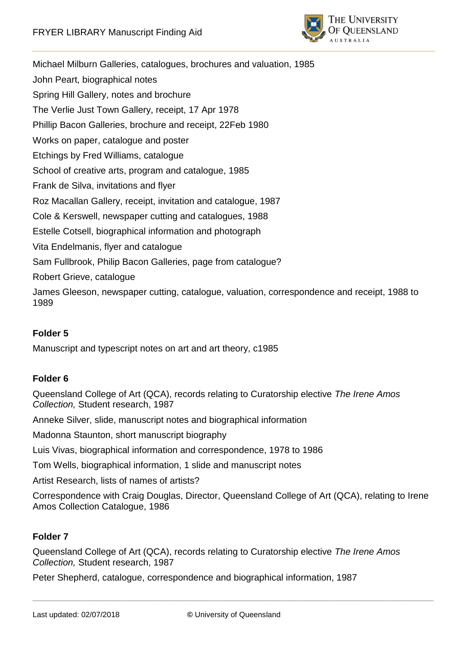

Michael Milburn Galleries, catalogues, brochures and valuation, 1985 John Peart, biographical notes Spring Hill Gallery, notes and brochure The Verlie Just Town Gallery, receipt, 17 Apr 1978 Phillip Bacon Galleries, brochure and receipt, 22Feb 1980 Works on paper, catalogue and poster Etchings by Fred Williams, catalogue School of creative arts, program and catalogue, 1985 Frank de Silva, invitations and flyer Roz Macallan Gallery, receipt, invitation and catalogue, 1987 Cole & Kerswell, newspaper cutting and catalogues, 1988 Estelle Cotsell, biographical information and photograph Vita Endelmanis, flyer and catalogue Sam Fullbrook, Philip Bacon Galleries, page from catalogue? Robert Grieve, catalogue

James Gleeson, newspaper cutting, catalogue, valuation, correspondence and receipt, 1988 to 1989

## **Folder 5**

Manuscript and typescript notes on art and art theory, c1985

#### **Folder 6**

Queensland College of Art (QCA), records relating to Curatorship elective *The Irene Amos Collection,* Student research, 1987

Anneke Silver, slide, manuscript notes and biographical information

Madonna Staunton, short manuscript biography

Luis Vivas, biographical information and correspondence, 1978 to 1986

Tom Wells, biographical information, 1 slide and manuscript notes

Artist Research, lists of names of artists?

Correspondence with Craig Douglas, Director, Queensland College of Art (QCA), relating to Irene Amos Collection Catalogue, 1986

#### **Folder 7**

Queensland College of Art (QCA), records relating to Curatorship elective *The Irene Amos Collection,* Student research, 1987

Peter Shepherd, catalogue, correspondence and biographical information, 1987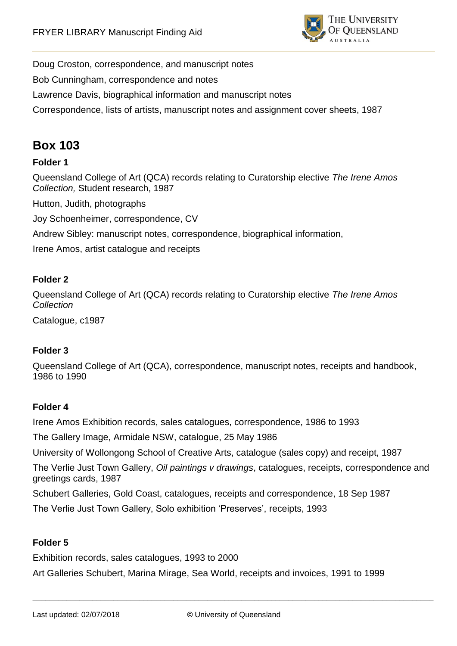

Doug Croston, correspondence, and manuscript notes

Bob Cunningham, correspondence and notes

Lawrence Davis, biographical information and manuscript notes

Correspondence, lists of artists, manuscript notes and assignment cover sheets, 1987

# **Box 103**

## **Folder 1**

Queensland College of Art (QCA) records relating to Curatorship elective *The Irene Amos Collection,* Student research, 1987

Hutton, Judith, photographs

Joy Schoenheimer, correspondence, CV

Andrew Sibley: manuscript notes, correspondence, biographical information,

Irene Amos, artist catalogue and receipts

#### **Folder 2**

Queensland College of Art (QCA) records relating to Curatorship elective *The Irene Amos Collection*

Catalogue, c1987

#### **Folder 3**

Queensland College of Art (QCA), correspondence, manuscript notes, receipts and handbook, 1986 to 1990

#### **Folder 4**

Irene Amos Exhibition records, sales catalogues, correspondence, 1986 to 1993

The Gallery Image, Armidale NSW, catalogue, 25 May 1986

University of Wollongong School of Creative Arts, catalogue (sales copy) and receipt, 1987

The Verlie Just Town Gallery, *Oil paintings v drawings*, catalogues, receipts, correspondence and greetings cards, 1987

Schubert Galleries, Gold Coast, catalogues, receipts and correspondence, 18 Sep 1987

The Verlie Just Town Gallery, Solo exhibition 'Preserves', receipts, 1993

#### **Folder 5**

Exhibition records, sales catalogues, 1993 to 2000

Art Galleries Schubert, Marina Mirage, Sea World, receipts and invoices, 1991 to 1999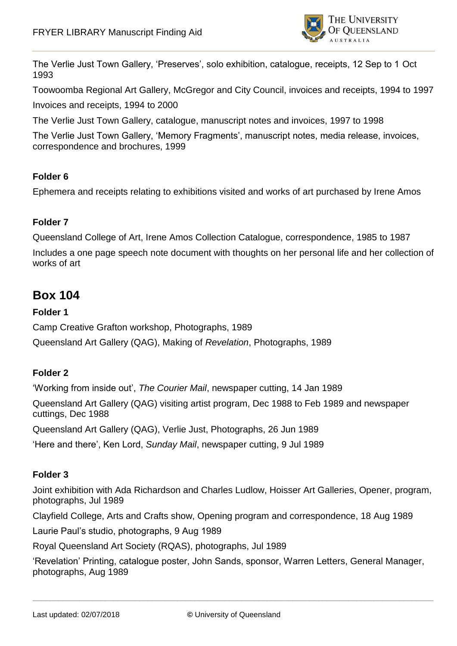

The Verlie Just Town Gallery, 'Preserves', solo exhibition, catalogue, receipts, 12 Sep to 1 Oct 1993

Toowoomba Regional Art Gallery, McGregor and City Council, invoices and receipts, 1994 to 1997

Invoices and receipts, 1994 to 2000

The Verlie Just Town Gallery, catalogue, manuscript notes and invoices, 1997 to 1998

The Verlie Just Town Gallery, 'Memory Fragments', manuscript notes, media release, invoices, correspondence and brochures, 1999

### **Folder 6**

Ephemera and receipts relating to exhibitions visited and works of art purchased by Irene Amos

### **Folder 7**

Queensland College of Art, Irene Amos Collection Catalogue, correspondence, 1985 to 1987

Includes a one page speech note document with thoughts on her personal life and her collection of works of art

## **Box 104**

### **Folder 1**

Camp Creative Grafton workshop, Photographs, 1989

Queensland Art Gallery (QAG), Making of *Revelation*, Photographs, 1989

## **Folder 2**

'Working from inside out', *The Courier Mail*, newspaper cutting, 14 Jan 1989

Queensland Art Gallery (QAG) visiting artist program, Dec 1988 to Feb 1989 and newspaper cuttings, Dec 1988

Queensland Art Gallery (QAG), Verlie Just, Photographs, 26 Jun 1989

'Here and there', Ken Lord, *Sunday Mail*, newspaper cutting, 9 Jul 1989

#### **Folder 3**

Joint exhibition with Ada Richardson and Charles Ludlow, Hoisser Art Galleries, Opener, program, photographs, Jul 1989

Clayfield College, Arts and Crafts show, Opening program and correspondence, 18 Aug 1989

Laurie Paul's studio, photographs, 9 Aug 1989

Royal Queensland Art Society (RQAS), photographs, Jul 1989

'Revelation' Printing, catalogue poster, John Sands, sponsor, Warren Letters, General Manager, photographs, Aug 1989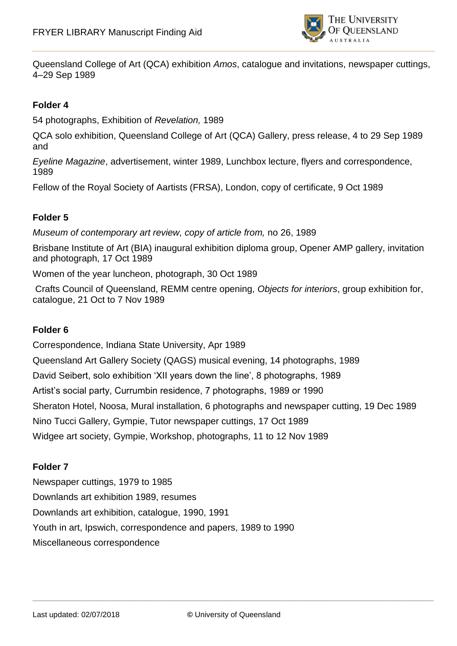

Queensland College of Art (QCA) exhibition *Amos*, catalogue and invitations, newspaper cuttings, 4–29 Sep 1989

#### **Folder 4**

54 photographs, Exhibition of *Revelation,* 1989

QCA solo exhibition, Queensland College of Art (QCA) Gallery, press release, 4 to 29 Sep 1989 and

*Eyeline Magazine*, advertisement, winter 1989, Lunchbox lecture, flyers and correspondence, 1989

Fellow of the Royal Society of Aartists (FRSA), London, copy of certificate, 9 Oct 1989

#### **Folder 5**

*Museum of contemporary art review, copy of article from,* no 26, 1989

Brisbane Institute of Art (BIA) inaugural exhibition diploma group, Opener AMP gallery, invitation and photograph, 17 Oct 1989

Women of the year luncheon, photograph, 30 Oct 1989

Crafts Council of Queensland, REMM centre opening, *Objects for interiors*, group exhibition for, catalogue, 21 Oct to 7 Nov 1989

#### **Folder 6**

Correspondence, Indiana State University, Apr 1989 Queensland Art Gallery Society (QAGS) musical evening, 14 photographs, 1989 David Seibert, solo exhibition 'XII years down the line', 8 photographs, 1989 Artist's social party, Currumbin residence, 7 photographs, 1989 or 1990 Sheraton Hotel, Noosa, Mural installation, 6 photographs and newspaper cutting, 19 Dec 1989 Nino Tucci Gallery, Gympie, Tutor newspaper cuttings, 17 Oct 1989 Widgee art society, Gympie, Workshop, photographs, 11 to 12 Nov 1989

#### **Folder 7**

Newspaper cuttings, 1979 to 1985 Downlands art exhibition 1989, resumes Downlands art exhibition, catalogue, 1990, 1991 Youth in art, Ipswich, correspondence and papers, 1989 to 1990 Miscellaneous correspondence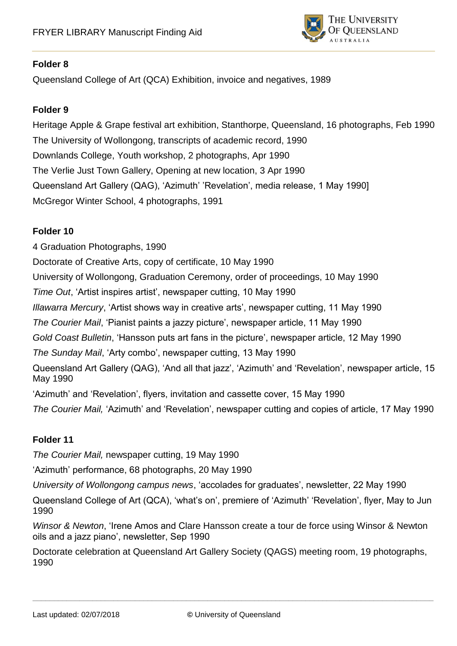

Queensland College of Art (QCA) Exhibition, invoice and negatives, 1989

## **Folder 9**

Heritage Apple & Grape festival art exhibition, Stanthorpe, Queensland, 16 photographs, Feb 1990 The University of Wollongong, transcripts of academic record, 1990 Downlands College, Youth workshop, 2 photographs, Apr 1990 The Verlie Just Town Gallery, Opening at new location, 3 Apr 1990 Queensland Art Gallery (QAG), 'Azimuth' 'Revelation', media release, 1 May 1990] McGregor Winter School, 4 photographs, 1991

### **Folder 10**

4 Graduation Photographs, 1990

Doctorate of Creative Arts, copy of certificate, 10 May 1990

University of Wollongong, Graduation Ceremony, order of proceedings, 10 May 1990

*Time Out*, 'Artist inspires artist', newspaper cutting, 10 May 1990

*Illawarra Mercury*, 'Artist shows way in creative arts', newspaper cutting, 11 May 1990

*The Courier Mail*, 'Pianist paints a jazzy picture', newspaper article, 11 May 1990

*Gold Coast Bulletin*, 'Hansson puts art fans in the picture', newspaper article, 12 May 1990

*The Sunday Mail*, 'Arty combo', newspaper cutting, 13 May 1990

Queensland Art Gallery (QAG), 'And all that jazz', 'Azimuth' and 'Revelation', newspaper article, 15 May 1990

'Azimuth' and 'Revelation', flyers, invitation and cassette cover, 15 May 1990

*The Courier Mail,* 'Azimuth' and 'Revelation', newspaper cutting and copies of article, 17 May 1990

## **Folder 11**

*The Courier Mail,* newspaper cutting, 19 May 1990

'Azimuth' performance, 68 photographs, 20 May 1990

*University of Wollongong campus news*, 'accolades for graduates', newsletter, 22 May 1990

Queensland College of Art (QCA), 'what's on', premiere of 'Azimuth' 'Revelation', flyer, May to Jun 1990

*Winsor & Newton*, 'Irene Amos and Clare Hansson create a tour de force using Winsor & Newton oils and a jazz piano', newsletter, Sep 1990

Doctorate celebration at Queensland Art Gallery Society (QAGS) meeting room, 19 photographs, 1990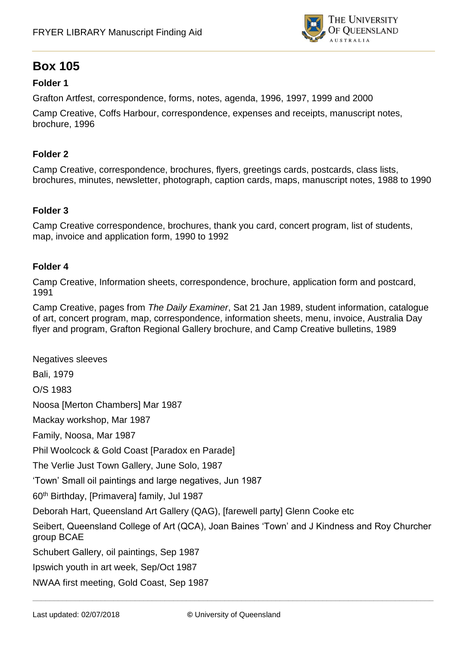

## **Box 105**

## **Folder 1**

Grafton Artfest, correspondence, forms, notes, agenda, 1996, 1997, 1999 and 2000

Camp Creative, Coffs Harbour, correspondence, expenses and receipts, manuscript notes, brochure, 1996

#### **Folder 2**

Camp Creative, correspondence, brochures, flyers, greetings cards, postcards, class lists, brochures, minutes, newsletter, photograph, caption cards, maps, manuscript notes, 1988 to 1990

### **Folder 3**

Camp Creative correspondence, brochures, thank you card, concert program, list of students, map, invoice and application form, 1990 to 1992

#### **Folder 4**

Camp Creative, Information sheets, correspondence, brochure, application form and postcard, 1991

Camp Creative, pages from *The Daily Examiner*, Sat 21 Jan 1989, student information, catalogue of art, concert program, map, correspondence, information sheets, menu, invoice, Australia Day flyer and program, Grafton Regional Gallery brochure, and Camp Creative bulletins, 1989

Negatives sleeves Bali, 1979 O/S 1983 Noosa [Merton Chambers] Mar 1987 Mackay workshop, Mar 1987 Family, Noosa, Mar 1987 Phil Woolcock & Gold Coast [Paradox en Parade] The Verlie Just Town Gallery, June Solo, 1987 'Town' Small oil paintings and large negatives, Jun 1987 60th Birthday, [Primavera] family, Jul 1987 Deborah Hart, Queensland Art Gallery (QAG), [farewell party] Glenn Cooke etc Seibert, Queensland College of Art (QCA), Joan Baines 'Town' and J Kindness and Roy Churcher group BCAE Schubert Gallery, oil paintings, Sep 1987 Ipswich youth in art week, Sep/Oct 1987 NWAA first meeting, Gold Coast, Sep 1987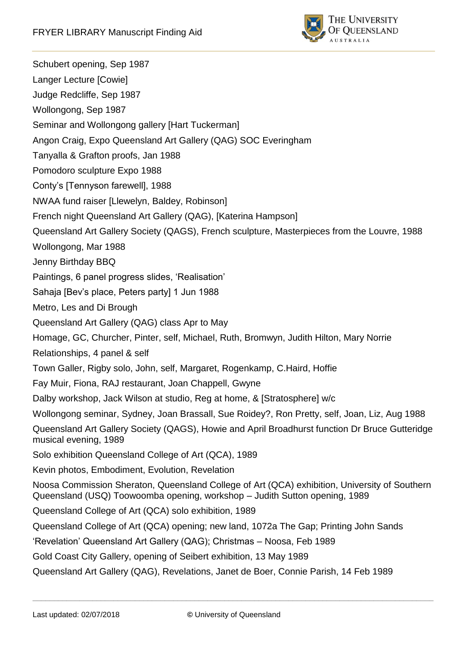

Schubert opening, Sep 1987 Langer Lecture [Cowie] Judge Redcliffe, Sep 1987 Wollongong, Sep 1987 Seminar and Wollongong gallery [Hart Tuckerman] Angon Craig, Expo Queensland Art Gallery (QAG) SOC Everingham Tanyalla & Grafton proofs, Jan 1988 Pomodoro sculpture Expo 1988 Conty's [Tennyson farewell], 1988 NWAA fund raiser [Llewelyn, Baldey, Robinson] French night Queensland Art Gallery (QAG), [Katerina Hampson] Queensland Art Gallery Society (QAGS), French sculpture, Masterpieces from the Louvre, 1988 Wollongong, Mar 1988 Jenny Birthday BBQ Paintings, 6 panel progress slides, 'Realisation' Sahaja [Bev's place, Peters party] 1 Jun 1988 Metro, Les and Di Brough Queensland Art Gallery (QAG) class Apr to May Homage, GC, Churcher, Pinter, self, Michael, Ruth, Bromwyn, Judith Hilton, Mary Norrie Relationships, 4 panel & self Town Galler, Rigby solo, John, self, Margaret, Rogenkamp, C.Haird, Hoffie Fay Muir, Fiona, RAJ restaurant, Joan Chappell, Gwyne Dalby workshop, Jack Wilson at studio, Reg at home, & [Stratosphere] w/c Wollongong seminar, Sydney, Joan Brassall, Sue Roidey?, Ron Pretty, self, Joan, Liz, Aug 1988 Queensland Art Gallery Society (QAGS), Howie and April Broadhurst function Dr Bruce Gutteridge musical evening, 1989 Solo exhibition Queensland College of Art (QCA), 1989 Kevin photos, Embodiment, Evolution, Revelation Noosa Commission Sheraton, Queensland College of Art (QCA) exhibition, University of Southern Queensland (USQ) Toowoomba opening, workshop – Judith Sutton opening, 1989 Queensland College of Art (QCA) solo exhibition, 1989 Queensland College of Art (QCA) opening; new land, 1072a The Gap; Printing John Sands 'Revelation' Queensland Art Gallery (QAG); Christmas – Noosa, Feb 1989 Gold Coast City Gallery, opening of Seibert exhibition, 13 May 1989 Queensland Art Gallery (QAG), Revelations, Janet de Boer, Connie Parish, 14 Feb 1989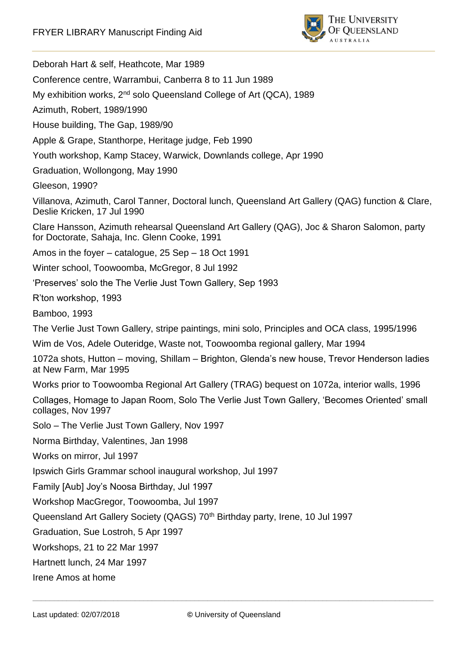

\_\_\_\_\_\_\_\_\_\_\_\_\_\_\_\_\_\_\_\_\_\_\_\_\_\_\_\_\_\_\_\_\_\_\_\_\_\_\_\_\_\_\_\_\_\_\_\_\_\_\_\_\_\_\_\_\_\_\_\_\_\_\_\_\_\_\_\_\_\_\_\_\_\_\_\_\_\_\_\_\_\_\_\_\_\_\_\_\_\_\_\_\_\_ Deborah Hart & self, Heathcote, Mar 1989 Conference centre, Warrambui, Canberra 8 to 11 Jun 1989 My exhibition works, 2<sup>nd</sup> solo Queensland College of Art (QCA), 1989 Azimuth, Robert, 1989/1990 House building, The Gap, 1989/90 Apple & Grape, Stanthorpe, Heritage judge, Feb 1990 Youth workshop, Kamp Stacey, Warwick, Downlands college, Apr 1990 Graduation, Wollongong, May 1990 Gleeson, 1990? Villanova, Azimuth, Carol Tanner, Doctoral lunch, Queensland Art Gallery (QAG) function & Clare, Deslie Kricken, 17 Jul 1990 Clare Hansson, Azimuth rehearsal Queensland Art Gallery (QAG), Joc & Sharon Salomon, party for Doctorate, Sahaja, Inc. Glenn Cooke, 1991 Amos in the foyer – catalogue, 25 Sep – 18 Oct 1991 Winter school, Toowoomba, McGregor, 8 Jul 1992 'Preserves' solo the The Verlie Just Town Gallery, Sep 1993 R'ton workshop, 1993 Bamboo, 1993 The Verlie Just Town Gallery, stripe paintings, mini solo, Principles and OCA class, 1995/1996 Wim de Vos, Adele Outeridge, Waste not, Toowoomba regional gallery, Mar 1994 1072a shots, Hutton – moving, Shillam – Brighton, Glenda's new house, Trevor Henderson ladies at New Farm, Mar 1995 Works prior to Toowoomba Regional Art Gallery (TRAG) bequest on 1072a, interior walls, 1996 Collages, Homage to Japan Room, Solo The Verlie Just Town Gallery, 'Becomes Oriented' small collages, Nov 1997 Solo – The Verlie Just Town Gallery, Nov 1997 Norma Birthday, Valentines, Jan 1998 Works on mirror, Jul 1997 Ipswich Girls Grammar school inaugural workshop, Jul 1997 Family [Aub] Joy's Noosa Birthday, Jul 1997 Workshop MacGregor, Toowoomba, Jul 1997 Queensland Art Gallery Society (QAGS) 70<sup>th</sup> Birthday party, Irene, 10 Jul 1997 Graduation, Sue Lostroh, 5 Apr 1997 Workshops, 21 to 22 Mar 1997 Hartnett lunch, 24 Mar 1997 Irene Amos at home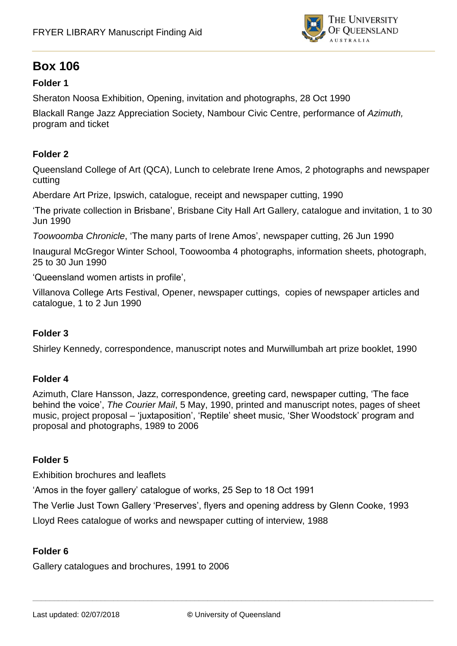

## **Box 106**

## **Folder 1**

Sheraton Noosa Exhibition, Opening, invitation and photographs, 28 Oct 1990

Blackall Range Jazz Appreciation Society, Nambour Civic Centre, performance of *Azimuth,* program and ticket

### **Folder 2**

Queensland College of Art (QCA), Lunch to celebrate Irene Amos, 2 photographs and newspaper cutting

Aberdare Art Prize, Ipswich, catalogue, receipt and newspaper cutting, 1990

'The private collection in Brisbane', Brisbane City Hall Art Gallery, catalogue and invitation, 1 to 30 Jun 1990

*Toowoomba Chronicle*, 'The many parts of Irene Amos', newspaper cutting, 26 Jun 1990

Inaugural McGregor Winter School, Toowoomba 4 photographs, information sheets, photograph, 25 to 30 Jun 1990

'Queensland women artists in profile',

Villanova College Arts Festival, Opener, newspaper cuttings, copies of newspaper articles and catalogue, 1 to 2 Jun 1990

#### **Folder 3**

Shirley Kennedy, correspondence, manuscript notes and Murwillumbah art prize booklet, 1990

#### **Folder 4**

Azimuth, Clare Hansson, Jazz, correspondence, greeting card, newspaper cutting, 'The face behind the voice', *The Courier Mail*, 5 May, 1990, printed and manuscript notes, pages of sheet music, project proposal – 'juxtaposition', 'Reptile' sheet music, 'Sher Woodstock' program and proposal and photographs, 1989 to 2006

#### **Folder 5**

Exhibition brochures and leaflets

'Amos in the foyer gallery' catalogue of works, 25 Sep to 18 Oct 1991

The Verlie Just Town Gallery 'Preserves', flyers and opening address by Glenn Cooke, 1993

Lloyd Rees catalogue of works and newspaper cutting of interview, 1988

#### **Folder 6**

Gallery catalogues and brochures, 1991 to 2006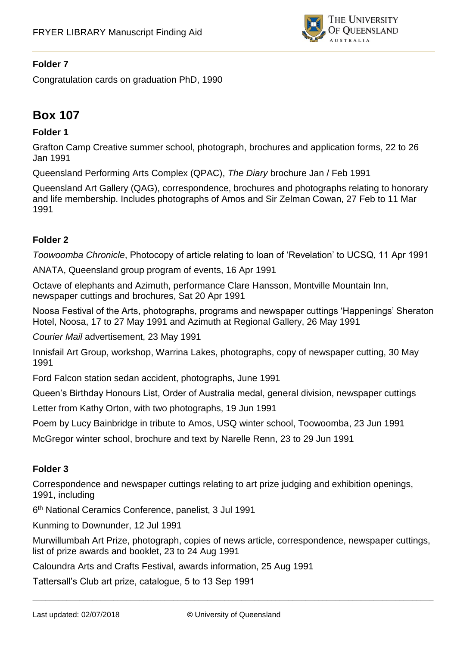

Congratulation cards on graduation PhD, 1990

# **Box 107**

## **Folder 1**

Grafton Camp Creative summer school, photograph, brochures and application forms, 22 to 26 Jan 1991

Queensland Performing Arts Complex (QPAC), *The Diary* brochure Jan / Feb 1991

Queensland Art Gallery (QAG), correspondence, brochures and photographs relating to honorary and life membership. Includes photographs of Amos and Sir Zelman Cowan, 27 Feb to 11 Mar 1991

### **Folder 2**

*Toowoomba Chronicle*, Photocopy of article relating to loan of 'Revelation' to UCSQ, 11 Apr 1991

ANATA, Queensland group program of events, 16 Apr 1991

Octave of elephants and Azimuth, performance Clare Hansson, Montville Mountain Inn, newspaper cuttings and brochures, Sat 20 Apr 1991

Noosa Festival of the Arts, photographs, programs and newspaper cuttings 'Happenings' Sheraton Hotel, Noosa, 17 to 27 May 1991 and Azimuth at Regional Gallery, 26 May 1991

*Courier Mail* advertisement, 23 May 1991

Innisfail Art Group, workshop, Warrina Lakes, photographs, copy of newspaper cutting, 30 May 1991

Ford Falcon station sedan accident, photographs, June 1991

Queen's Birthday Honours List, Order of Australia medal, general division, newspaper cuttings

Letter from Kathy Orton, with two photographs, 19 Jun 1991

Poem by Lucy Bainbridge in tribute to Amos, USQ winter school, Toowoomba, 23 Jun 1991

McGregor winter school, brochure and text by Narelle Renn, 23 to 29 Jun 1991

#### **Folder 3**

Correspondence and newspaper cuttings relating to art prize judging and exhibition openings, 1991, including

6 th National Ceramics Conference, panelist, 3 Jul 1991

Kunming to Downunder, 12 Jul 1991

Murwillumbah Art Prize, photograph, copies of news article, correspondence, newspaper cuttings, list of prize awards and booklet, 23 to 24 Aug 1991

Caloundra Arts and Crafts Festival, awards information, 25 Aug 1991

Tattersall's Club art prize, catalogue, 5 to 13 Sep 1991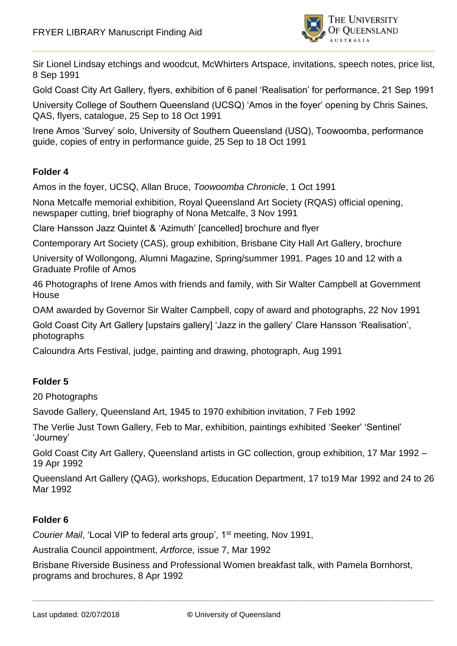

Sir Lionel Lindsay etchings and woodcut, McWhirters Artspace, invitations, speech notes, price list, 8 Sep 1991

Gold Coast City Art Gallery, flyers, exhibition of 6 panel 'Realisation' for performance, 21 Sep 1991

University College of Southern Queensland (UCSQ) 'Amos in the foyer' opening by Chris Saines, QAS, flyers, catalogue, 25 Sep to 18 Oct 1991

Irene Amos 'Survey' solo, University of Southern Queensland (USQ), Toowoomba, performance guide, copies of entry in performance guide, 25 Sep to 18 Oct 1991

### **Folder 4**

Amos in the foyer, UCSQ, Allan Bruce, *Toowoomba Chronicle*, 1 Oct 1991

Nona Metcalfe memorial exhibition, Royal Queensland Art Society (RQAS) official opening, newspaper cutting, brief biography of Nona Metcalfe, 3 Nov 1991

Clare Hansson Jazz Quintet & 'Azimuth' [cancelled] brochure and flyer

Contemporary Art Society (CAS), group exhibition, Brisbane City Hall Art Gallery, brochure

University of Wollongong, Alumni Magazine, Spring/summer 1991. Pages 10 and 12 with a Graduate Profile of Amos

46 Photographs of Irene Amos with friends and family, with Sir Walter Campbell at Government **House** 

OAM awarded by Governor Sir Walter Campbell, copy of award and photographs, 22 Nov 1991

Gold Coast City Art Gallery [upstairs gallery] 'Jazz in the gallery' Clare Hansson 'Realisation', photographs

Caloundra Arts Festival, judge, painting and drawing, photograph, Aug 1991

## **Folder 5**

20 Photographs

Savode Gallery, Queensland Art, 1945 to 1970 exhibition invitation, 7 Feb 1992

The Verlie Just Town Gallery, Feb to Mar, exhibition, paintings exhibited 'Seeker' 'Sentinel' 'Journey'

Gold Coast City Art Gallery, Queensland artists in GC collection, group exhibition, 17 Mar 1992 – 19 Apr 1992

Queensland Art Gallery (QAG), workshops, Education Department, 17 to19 Mar 1992 and 24 to 26 Mar 1992

## **Folder 6**

*Courier Mail*, 'Local VIP to federal arts group', 1st meeting, Nov 1991,

Australia Council appointment, *Artforce,* issue 7, Mar 1992

Brisbane Riverside Business and Professional Women breakfast talk, with Pamela Bornhorst, programs and brochures, 8 Apr 1992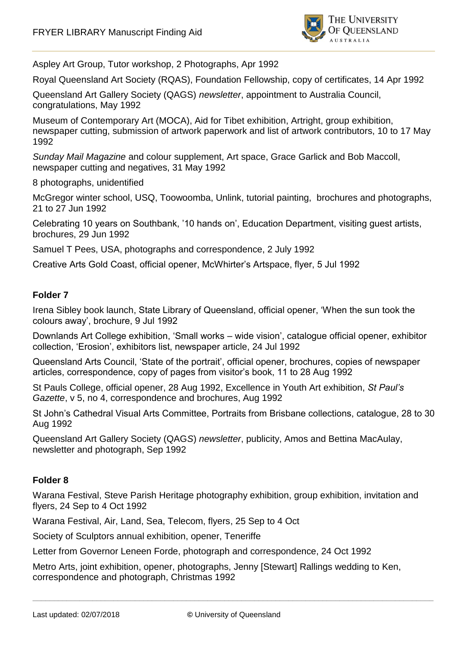

Aspley Art Group, Tutor workshop, 2 Photographs, Apr 1992

Royal Queensland Art Society (RQAS), Foundation Fellowship, copy of certificates, 14 Apr 1992

Queensland Art Gallery Society (QAGS) *newsletter*, appointment to Australia Council, congratulations, May 1992

Museum of Contemporary Art (MOCA), Aid for Tibet exhibition, Artright, group exhibition, newspaper cutting, submission of artwork paperwork and list of artwork contributors, 10 to 17 May 1992

*Sunday Mail Magazine* and colour supplement, Art space, Grace Garlick and Bob Maccoll, newspaper cutting and negatives, 31 May 1992

8 photographs, unidentified

McGregor winter school, USQ, Toowoomba, Unlink, tutorial painting, brochures and photographs, 21 to 27 Jun 1992

Celebrating 10 years on Southbank, '10 hands on', Education Department, visiting guest artists, brochures, 29 Jun 1992

Samuel T Pees, USA, photographs and correspondence, 2 July 1992

Creative Arts Gold Coast, official opener, McWhirter's Artspace, flyer, 5 Jul 1992

#### **Folder 7**

Irena Sibley book launch, State Library of Queensland, official opener, 'When the sun took the colours away', brochure, 9 Jul 1992

Downlands Art College exhibition, 'Small works – wide vision', catalogue official opener, exhibitor collection, 'Erosion', exhibitors list, newspaper article, 24 Jul 1992

Queensland Arts Council, 'State of the portrait', official opener, brochures, copies of newspaper articles, correspondence, copy of pages from visitor's book, 11 to 28 Aug 1992

St Pauls College, official opener, 28 Aug 1992, Excellence in Youth Art exhibition, *St Paul's Gazette*, v 5, no 4, correspondence and brochures, Aug 1992

St John's Cathedral Visual Arts Committee, Portraits from Brisbane collections, catalogue, 28 to 30 Aug 1992

Queensland Art Gallery Society (QAG*S*) *newsletter*, publicity, Amos and Bettina MacAulay, newsletter and photograph, Sep 1992

#### **Folder 8**

Warana Festival, Steve Parish Heritage photography exhibition, group exhibition, invitation and flyers, 24 Sep to 4 Oct 1992

Warana Festival, Air, Land, Sea, Telecom, flyers, 25 Sep to 4 Oct

Society of Sculptors annual exhibition, opener, Teneriffe

Letter from Governor Leneen Forde, photograph and correspondence, 24 Oct 1992

Metro Arts, joint exhibition, opener, photographs, Jenny [Stewart] Rallings wedding to Ken, correspondence and photograph, Christmas 1992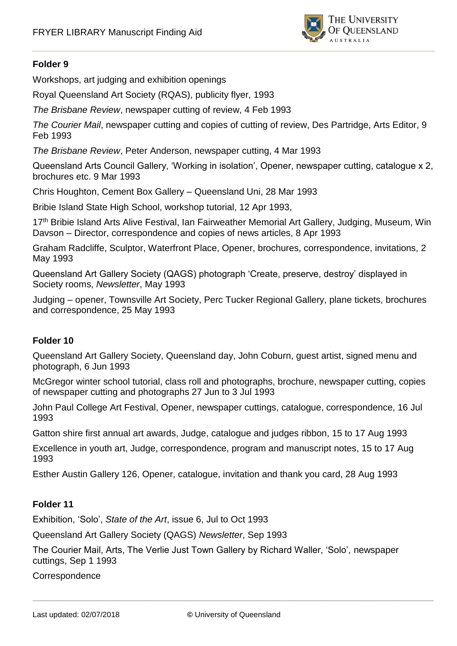

Workshops, art judging and exhibition openings

Royal Queensland Art Society (RQAS), publicity flyer, 1993

*The Brisbane Review*, newspaper cutting of review, 4 Feb 1993

*The Courier Mail*, newspaper cutting and copies of cutting of review, Des Partridge, Arts Editor, 9 Feb 1993

*The Brisbane Review*, Peter Anderson, newspaper cutting, 4 Mar 1993

Queensland Arts Council Gallery, 'Working in isolation', Opener, newspaper cutting, catalogue x 2, brochures etc. 9 Mar 1993

Chris Houghton, Cement Box Gallery – Queensland Uni, 28 Mar 1993

Bribie Island State High School, workshop tutorial, 12 Apr 1993,

17<sup>th</sup> Bribie Island Arts Alive Festival, Ian Fairweather Memorial Art Gallery, Judging, Museum, Win Davson – Director, correspondence and copies of news articles, 8 Apr 1993

Graham Radcliffe, Sculptor, Waterfront Place, Opener, brochures, correspondence, invitations, 2 May 1993

Queensland Art Gallery Society (QAGS) photograph 'Create, preserve, destroy' displayed in Society rooms, *Newsletter*, May 1993

Judging – opener, Townsville Art Society, Perc Tucker Regional Gallery, plane tickets, brochures and correspondence, 25 May 1993

#### **Folder 10**

Queensland Art Gallery Society, Queensland day, John Coburn, guest artist, signed menu and photograph, 6 Jun 1993

McGregor winter school tutorial, class roll and photographs, brochure, newspaper cutting, copies of newspaper cutting and photographs 27 Jun to 3 Jul 1993

John Paul College Art Festival, Opener, newspaper cuttings, catalogue, correspondence, 16 Jul 1993

Gatton shire first annual art awards, Judge, catalogue and judges ribbon, 15 to 17 Aug 1993

Excellence in youth art, Judge, correspondence, program and manuscript notes, 15 to 17 Aug 1993

Esther Austin Gallery 126, Opener, catalogue, invitation and thank you card, 28 Aug 1993

## **Folder 11**

Exhibition, 'Solo', *State of the Art*, issue 6, Jul to Oct 1993

Queensland Art Gallery Society (QAGS) *Newsletter*, Sep 1993

The Courier Mail, Arts, The Verlie Just Town Gallery by Richard Waller, 'Solo', newspaper cuttings, Sep 1 1993

#### **Correspondence**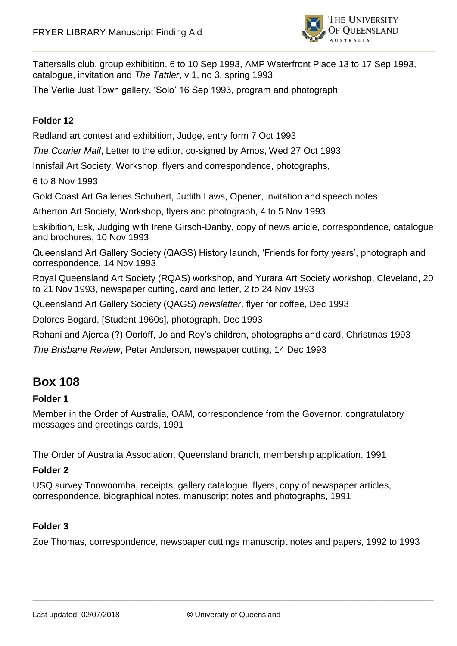

Tattersalls club, group exhibition, 6 to 10 Sep 1993, AMP Waterfront Place 13 to 17 Sep 1993, catalogue, invitation and *The Tattler*, v 1, no 3, spring 1993

The Verlie Just Town gallery, 'Solo' 16 Sep 1993, program and photograph

## **Folder 12**

Redland art contest and exhibition, Judge, entry form 7 Oct 1993

*The Courier Mail*, Letter to the editor, co-signed by Amos, Wed 27 Oct 1993

Innisfail Art Society, Workshop, flyers and correspondence, photographs,

6 to 8 Nov 1993

Gold Coast Art Galleries Schubert, Judith Laws, Opener, invitation and speech notes

Atherton Art Society, Workshop, flyers and photograph, 4 to 5 Nov 1993

Eskibition, Esk, Judging with Irene Girsch-Danby, copy of news article, correspondence, catalogue and brochures, 10 Nov 1993

Queensland Art Gallery Society (QAGS) History launch, 'Friends for forty years', photograph and correspondence, 14 Nov 1993

Royal Queensland Art Society (RQAS) workshop, and Yurara Art Society workshop, Cleveland, 20 to 21 Nov 1993, newspaper cutting, card and letter, 2 to 24 Nov 1993

Queensland Art Gallery Society (QAGS) *newsletter*, flyer for coffee, Dec 1993

Dolores Bogard, [Student 1960s], photograph, Dec 1993

Rohani and Ajerea (?) Oorloff, Jo and Roy's children, photographs and card, Christmas 1993

*The Brisbane Review*, Peter Anderson, newspaper cutting, 14 Dec 1993

## **Box 108**

#### **Folder 1**

Member in the Order of Australia, OAM, correspondence from the Governor, congratulatory messages and greetings cards, 1991

The Order of Australia Association, Queensland branch, membership application, 1991

#### **Folder 2**

USQ survey Toowoomba, receipts, gallery catalogue, flyers, copy of newspaper articles, correspondence, biographical notes, manuscript notes and photographs, 1991

## **Folder 3**

Zoe Thomas, correspondence, newspaper cuttings manuscript notes and papers, 1992 to 1993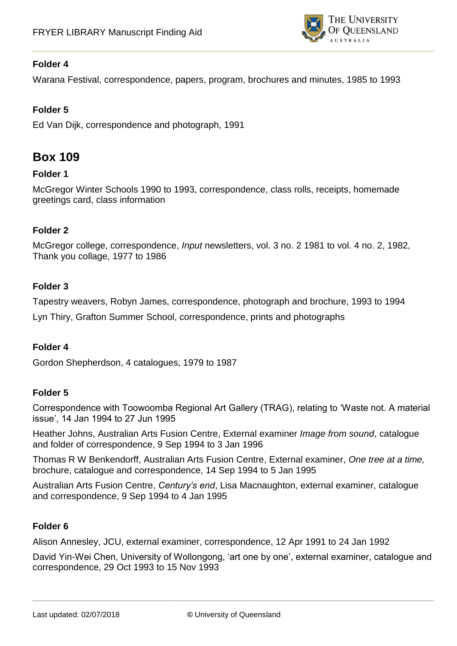

Warana Festival, correspondence, papers, program, brochures and minutes, 1985 to 1993

## **Folder 5**

Ed Van Dijk, correspondence and photograph, 1991

## **Box 109**

### **Folder 1**

McGregor Winter Schools 1990 to 1993, correspondence, class rolls, receipts, homemade greetings card, class information

### **Folder 2**

McGregor college, correspondence, *Input* newsletters, vol. 3 no. 2 1981 to vol. 4 no. 2, 1982, Thank you collage, 1977 to 1986

### **Folder 3**

Tapestry weavers, Robyn James, correspondence, photograph and brochure, 1993 to 1994 Lyn Thiry, Grafton Summer School, correspondence, prints and photographs

#### **Folder 4**

Gordon Shepherdson, 4 catalogues, 1979 to 1987

#### **Folder 5**

Correspondence with Toowoomba Regional Art Gallery (TRAG), relating to 'Waste not. A material issue', 14 Jan 1994 to 27 Jun 1995

Heather Johns, Australian Arts Fusion Centre, External examiner *Image from sound*, catalogue and folder of correspondence, 9 Sep 1994 to 3 Jan 1996

Thomas R W Benkendorff, Australian Arts Fusion Centre, External examiner, *One tree at a time,*  brochure, catalogue and correspondence, 14 Sep 1994 to 5 Jan 1995

Australian Arts Fusion Centre, *Century's end*, Lisa Macnaughton, external examiner, catalogue and correspondence, 9 Sep 1994 to 4 Jan 1995

## **Folder 6**

Alison Annesley, JCU, external examiner, correspondence, 12 Apr 1991 to 24 Jan 1992

David Yin-Wei Chen, University of Wollongong, 'art one by one', external examiner, catalogue and correspondence, 29 Oct 1993 to 15 Nov 1993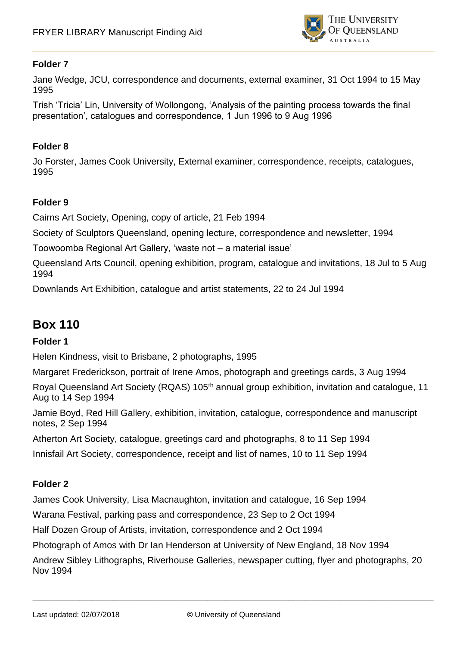

Jane Wedge, JCU, correspondence and documents, external examiner, 31 Oct 1994 to 15 May 1995

Trish 'Tricia' Lin, University of Wollongong, 'Analysis of the painting process towards the final presentation', catalogues and correspondence, 1 Jun 1996 to 9 Aug 1996

#### **Folder 8**

Jo Forster, James Cook University, External examiner, correspondence, receipts, catalogues, 1995

#### **Folder 9**

Cairns Art Society, Opening, copy of article, 21 Feb 1994

Society of Sculptors Queensland, opening lecture, correspondence and newsletter, 1994

Toowoomba Regional Art Gallery, 'waste not – a material issue'

Queensland Arts Council, opening exhibition, program, catalogue and invitations, 18 Jul to 5 Aug 1994

Downlands Art Exhibition, catalogue and artist statements, 22 to 24 Jul 1994

## **Box 110**

#### **Folder 1**

Helen Kindness, visit to Brisbane, 2 photographs, 1995

Margaret Frederickson, portrait of Irene Amos, photograph and greetings cards, 3 Aug 1994

Royal Queensland Art Society (RQAS) 105<sup>th</sup> annual group exhibition, invitation and catalogue, 11 Aug to 14 Sep 1994

Jamie Boyd, Red Hill Gallery, exhibition, invitation, catalogue, correspondence and manuscript notes, 2 Sep 1994

Atherton Art Society, catalogue, greetings card and photographs, 8 to 11 Sep 1994

Innisfail Art Society, correspondence, receipt and list of names, 10 to 11 Sep 1994

#### **Folder 2**

James Cook University, Lisa Macnaughton, invitation and catalogue, 16 Sep 1994

Warana Festival, parking pass and correspondence, 23 Sep to 2 Oct 1994

Half Dozen Group of Artists, invitation, correspondence and 2 Oct 1994

Photograph of Amos with Dr Ian Henderson at University of New England, 18 Nov 1994

Andrew Sibley Lithographs, Riverhouse Galleries, newspaper cutting, flyer and photographs, 20 Nov 1994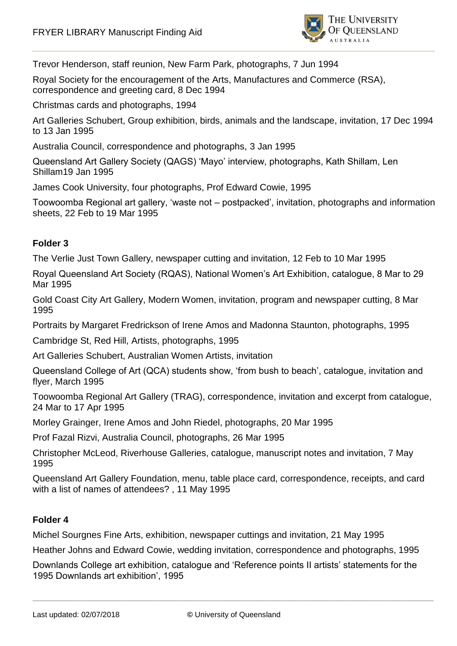

Trevor Henderson, staff reunion, New Farm Park, photographs, 7 Jun 1994

Royal Society for the encouragement of the Arts, Manufactures and Commerce (RSA), correspondence and greeting card, 8 Dec 1994

Christmas cards and photographs, 1994

Art Galleries Schubert, Group exhibition, birds, animals and the landscape, invitation, 17 Dec 1994 to 13 Jan 1995

Australia Council, correspondence and photographs, 3 Jan 1995

Queensland Art Gallery Society (QAGS) 'Mayo' interview, photographs, Kath Shillam, Len Shillam19 Jan 1995

James Cook University, four photographs, Prof Edward Cowie, 1995

Toowoomba Regional art gallery, 'waste not – postpacked', invitation, photographs and information sheets, 22 Feb to 19 Mar 1995

## **Folder 3**

The Verlie Just Town Gallery, newspaper cutting and invitation, 12 Feb to 10 Mar 1995

Royal Queensland Art Society (RQAS), National Women's Art Exhibition, catalogue, 8 Mar to 29 Mar 1995

Gold Coast City Art Gallery, Modern Women, invitation, program and newspaper cutting, 8 Mar 1995

Portraits by Margaret Fredrickson of Irene Amos and Madonna Staunton, photographs, 1995

Cambridge St, Red Hill, Artists, photographs, 1995

Art Galleries Schubert, Australian Women Artists, invitation

Queensland College of Art (QCA) students show, 'from bush to beach', catalogue, invitation and flyer, March 1995

Toowoomba Regional Art Gallery (TRAG), correspondence, invitation and excerpt from catalogue, 24 Mar to 17 Apr 1995

Morley Grainger, Irene Amos and John Riedel, photographs, 20 Mar 1995

Prof Fazal Rizvi, Australia Council, photographs, 26 Mar 1995

Christopher McLeod, Riverhouse Galleries, catalogue, manuscript notes and invitation, 7 May 1995

Queensland Art Gallery Foundation, menu, table place card, correspondence, receipts, and card with a list of names of attendees? , 11 May 1995

## **Folder 4**

Michel Sourgnes Fine Arts, exhibition, newspaper cuttings and invitation, 21 May 1995

Heather Johns and Edward Cowie, wedding invitation, correspondence and photographs, 1995

Downlands College art exhibition, catalogue and 'Reference points II artists' statements for the 1995 Downlands art exhibition', 1995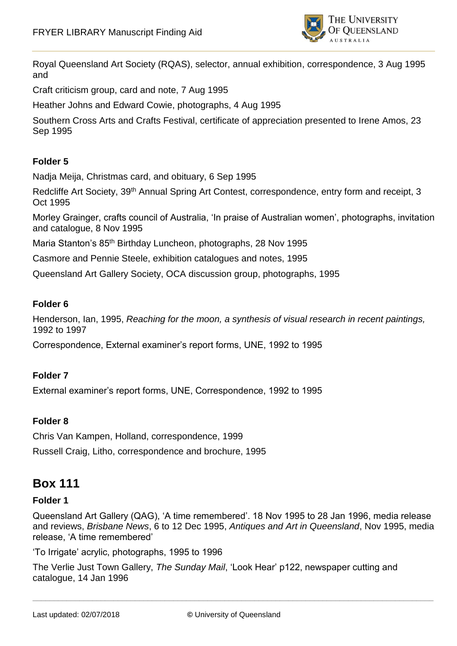

Royal Queensland Art Society (RQAS), selector, annual exhibition, correspondence, 3 Aug 1995 and

Craft criticism group, card and note, 7 Aug 1995

Heather Johns and Edward Cowie, photographs, 4 Aug 1995

Southern Cross Arts and Crafts Festival, certificate of appreciation presented to Irene Amos, 23 Sep 1995

## **Folder 5**

Nadja Meija, Christmas card, and obituary, 6 Sep 1995

Redcliffe Art Society, 39<sup>th</sup> Annual Spring Art Contest, correspondence, entry form and receipt, 3 Oct 1995

Morley Grainger, crafts council of Australia, 'In praise of Australian women', photographs, invitation and catalogue, 8 Nov 1995

Maria Stanton's 85th Birthday Luncheon, photographs, 28 Nov 1995

Casmore and Pennie Steele, exhibition catalogues and notes, 1995

Queensland Art Gallery Society, OCA discussion group, photographs, 1995

#### **Folder 6**

Henderson, Ian, 1995, *Reaching for the moon, a synthesis of visual research in recent paintings,*  1992 to 1997

Correspondence, External examiner's report forms, UNE, 1992 to 1995

## **Folder 7**

External examiner's report forms, UNE, Correspondence, 1992 to 1995

#### **Folder 8**

Chris Van Kampen, Holland, correspondence, 1999 Russell Craig, Litho, correspondence and brochure, 1995

## **Box 111**

#### **Folder 1**

Queensland Art Gallery (QAG), 'A time remembered'. 18 Nov 1995 to 28 Jan 1996, media release and reviews, *Brisbane News*, 6 to 12 Dec 1995, *Antiques and Art in Queensland*, Nov 1995, media release, 'A time remembered'

'To Irrigate' acrylic, photographs, 1995 to 1996

The Verlie Just Town Gallery, *The Sunday Mail*, 'Look Hear' p122, newspaper cutting and catalogue, 14 Jan 1996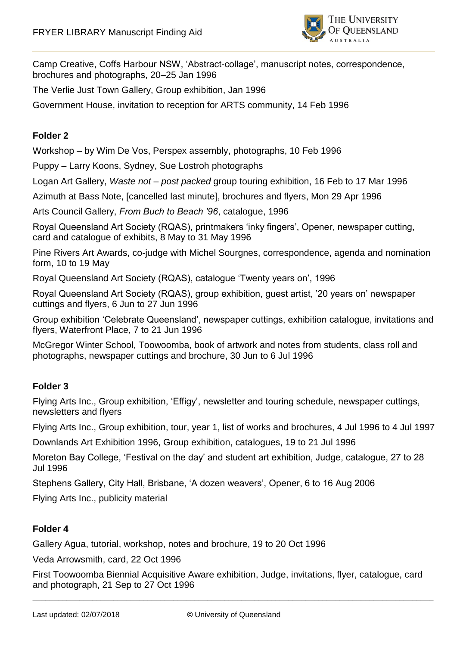

Camp Creative, Coffs Harbour NSW, 'Abstract-collage', manuscript notes, correspondence, brochures and photographs, 20–25 Jan 1996

The Verlie Just Town Gallery, Group exhibition, Jan 1996

Government House, invitation to reception for ARTS community, 14 Feb 1996

## **Folder 2**

Workshop – by Wim De Vos, Perspex assembly, photographs, 10 Feb 1996

Puppy – Larry Koons, Sydney, Sue Lostroh photographs

Logan Art Gallery, *Waste not – post packed* group touring exhibition, 16 Feb to 17 Mar 1996

Azimuth at Bass Note, [cancelled last minute], brochures and flyers, Mon 29 Apr 1996

Arts Council Gallery, *From Buch to Beach '96*, catalogue, 1996

Royal Queensland Art Society (RQAS), printmakers 'inky fingers', Opener, newspaper cutting, card and catalogue of exhibits, 8 May to 31 May 1996

Pine Rivers Art Awards, co-judge with Michel Sourgnes, correspondence, agenda and nomination form, 10 to 19 May

Royal Queensland Art Society (RQAS), catalogue 'Twenty years on', 1996

Royal Queensland Art Society (RQAS), group exhibition, guest artist, '20 years on' newspaper cuttings and flyers, 6 Jun to 27 Jun 1996

Group exhibition 'Celebrate Queensland', newspaper cuttings, exhibition catalogue, invitations and flyers, Waterfront Place, 7 to 21 Jun 1996

McGregor Winter School, Toowoomba, book of artwork and notes from students, class roll and photographs, newspaper cuttings and brochure, 30 Jun to 6 Jul 1996

#### **Folder 3**

Flying Arts Inc., Group exhibition, 'Effigy', newsletter and touring schedule, newspaper cuttings, newsletters and flyers

Flying Arts Inc., Group exhibition, tour, year 1, list of works and brochures, 4 Jul 1996 to 4 Jul 1997

Downlands Art Exhibition 1996, Group exhibition, catalogues, 19 to 21 Jul 1996

Moreton Bay College, 'Festival on the day' and student art exhibition, Judge, catalogue, 27 to 28 Jul 1996

Stephens Gallery, City Hall, Brisbane, 'A dozen weavers', Opener, 6 to 16 Aug 2006

Flying Arts Inc., publicity material

#### **Folder 4**

Gallery Agua, tutorial, workshop, notes and brochure, 19 to 20 Oct 1996

Veda Arrowsmith, card, 22 Oct 1996

First Toowoomba Biennial Acquisitive Aware exhibition, Judge, invitations, flyer, catalogue, card and photograph, 21 Sep to 27 Oct 1996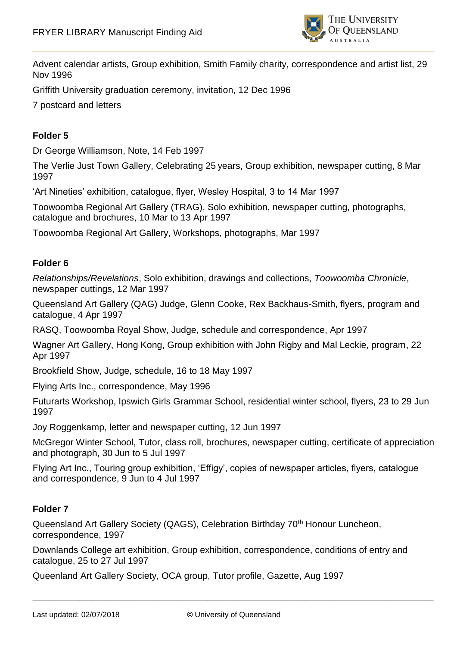

Advent calendar artists, Group exhibition, Smith Family charity, correspondence and artist list, 29 Nov 1996

Griffith University graduation ceremony, invitation, 12 Dec 1996

7 postcard and letters

## **Folder 5**

Dr George Williamson, Note, 14 Feb 1997

The Verlie Just Town Gallery, Celebrating 25 years, Group exhibition, newspaper cutting, 8 Mar 1997

'Art Nineties' exhibition, catalogue, flyer, Wesley Hospital, 3 to 14 Mar 1997

Toowoomba Regional Art Gallery (TRAG), Solo exhibition, newspaper cutting, photographs, catalogue and brochures, 10 Mar to 13 Apr 1997

Toowoomba Regional Art Gallery, Workshops, photographs, Mar 1997

### **Folder 6**

*Relationships/Revelations*, Solo exhibition, drawings and collections, *Toowoomba Chronicle*, newspaper cuttings, 12 Mar 1997

Queensland Art Gallery (QAG) Judge, Glenn Cooke, Rex Backhaus-Smith, flyers, program and catalogue, 4 Apr 1997

RASQ, Toowoomba Royal Show, Judge, schedule and correspondence, Apr 1997

Wagner Art Gallery, Hong Kong, Group exhibition with John Rigby and Mal Leckie, program, 22 Apr 1997

Brookfield Show, Judge, schedule, 16 to 18 May 1997

Flying Arts Inc., correspondence, May 1996

Futurarts Workshop, Ipswich Girls Grammar School, residential winter school, flyers, 23 to 29 Jun 1997

Joy Roggenkamp, letter and newspaper cutting, 12 Jun 1997

McGregor Winter School, Tutor, class roll, brochures, newspaper cutting, certificate of appreciation and photograph, 30 Jun to 5 Jul 1997

Flying Art Inc., Touring group exhibition, 'Effigy', copies of newspaper articles, flyers, catalogue and correspondence, 9 Jun to 4 Jul 1997

#### **Folder 7**

Queensland Art Gallery Society (QAGS), Celebration Birthday 70<sup>th</sup> Honour Luncheon, correspondence, 1997

Downlands College art exhibition, Group exhibition, correspondence, conditions of entry and catalogue, 25 to 27 Jul 1997

Queenland Art Gallery Society, OCA group, Tutor profile, Gazette, Aug 1997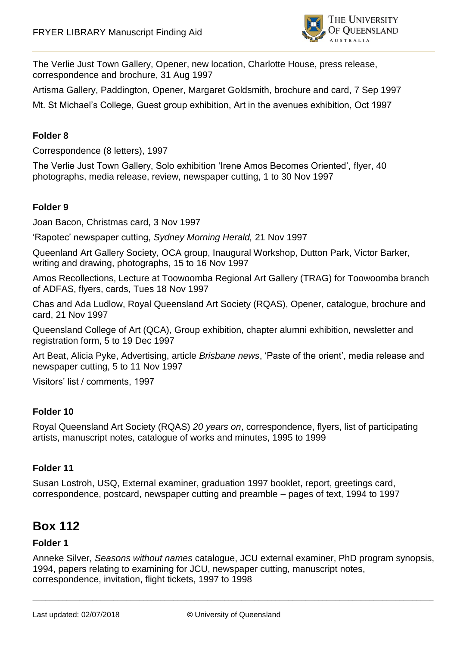

The Verlie Just Town Gallery, Opener, new location, Charlotte House, press release, correspondence and brochure, 31 Aug 1997

Artisma Gallery, Paddington, Opener, Margaret Goldsmith, brochure and card, 7 Sep 1997

Mt. St Michael's College, Guest group exhibition, Art in the avenues exhibition, Oct 1997

### **Folder 8**

Correspondence (8 letters), 1997

The Verlie Just Town Gallery, Solo exhibition 'Irene Amos Becomes Oriented', flyer, 40 photographs, media release, review, newspaper cutting, 1 to 30 Nov 1997

#### **Folder 9**

Joan Bacon, Christmas card, 3 Nov 1997

'Rapotec' newspaper cutting, *Sydney Morning Herald,* 21 Nov 1997

Queenland Art Gallery Society, OCA group, Inaugural Workshop, Dutton Park, Victor Barker, writing and drawing, photographs, 15 to 16 Nov 1997

Amos Recollections, Lecture at Toowoomba Regional Art Gallery (TRAG) for Toowoomba branch of ADFAS, flyers, cards, Tues 18 Nov 1997

Chas and Ada Ludlow, Royal Queensland Art Society (RQAS), Opener, catalogue, brochure and card, 21 Nov 1997

Queensland College of Art (QCA), Group exhibition, chapter alumni exhibition, newsletter and registration form, 5 to 19 Dec 1997

Art Beat, Alicia Pyke, Advertising, article *Brisbane news*, 'Paste of the orient', media release and newspaper cutting, 5 to 11 Nov 1997

Visitors' list / comments, 1997

#### **Folder 10**

Royal Queensland Art Society (RQAS) *20 years on*, correspondence, flyers, list of participating artists, manuscript notes, catalogue of works and minutes, 1995 to 1999

#### **Folder 11**

Susan Lostroh, USQ, External examiner, graduation 1997 booklet, report, greetings card, correspondence, postcard, newspaper cutting and preamble – pages of text, 1994 to 1997

## **Box 112**

### **Folder 1**

Anneke Silver, *Seasons without names* catalogue, JCU external examiner, PhD program synopsis, 1994, papers relating to examining for JCU, newspaper cutting, manuscript notes, correspondence, invitation, flight tickets, 1997 to 1998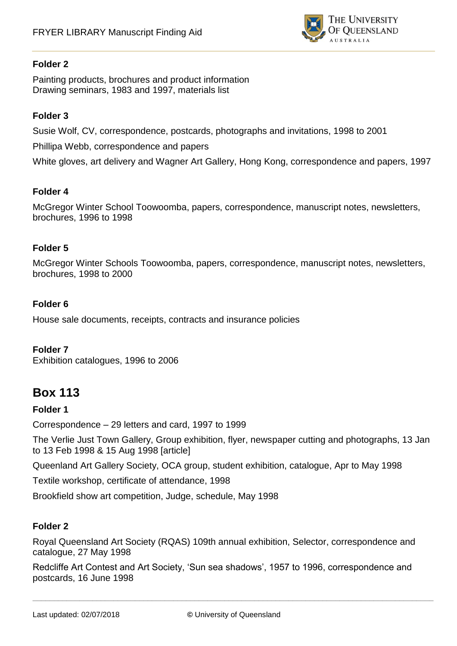

Painting products, brochures and product information Drawing seminars, 1983 and 1997, materials list

### **Folder 3**

Susie Wolf, CV, correspondence, postcards, photographs and invitations, 1998 to 2001 Phillipa Webb, correspondence and papers

White gloves, art delivery and Wagner Art Gallery, Hong Kong, correspondence and papers, 1997

### **Folder 4**

McGregor Winter School Toowoomba, papers, correspondence, manuscript notes, newsletters, brochures, 1996 to 1998

### **Folder 5**

McGregor Winter Schools Toowoomba, papers, correspondence, manuscript notes, newsletters, brochures, 1998 to 2000

### **Folder 6**

House sale documents, receipts, contracts and insurance policies

#### **Folder 7**

Exhibition catalogues, 1996 to 2006

# **Box 113**

#### **Folder 1**

Correspondence – 29 letters and card, 1997 to 1999

The Verlie Just Town Gallery, Group exhibition, flyer, newspaper cutting and photographs, 13 Jan to 13 Feb 1998 & 15 Aug 1998 [article]

Queenland Art Gallery Society, OCA group, student exhibition, catalogue, Apr to May 1998

Textile workshop, certificate of attendance, 1998

Brookfield show art competition, Judge, schedule, May 1998

## **Folder 2**

Royal Queensland Art Society (RQAS) 109th annual exhibition, Selector, correspondence and catalogue, 27 May 1998

Redcliffe Art Contest and Art Society, 'Sun sea shadows', 1957 to 1996, correspondence and postcards, 16 June 1998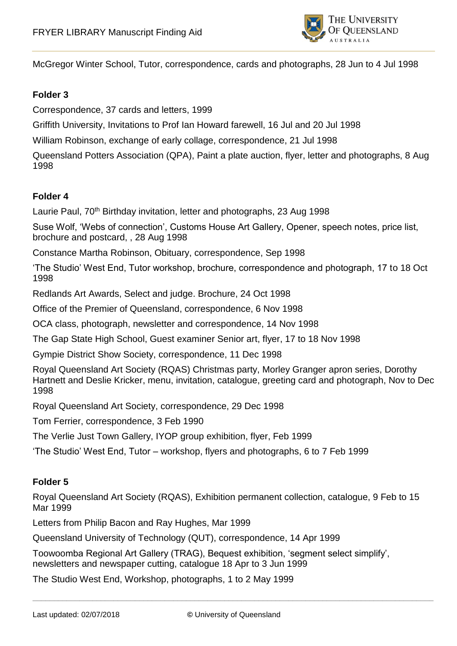

McGregor Winter School, Tutor, correspondence, cards and photographs, 28 Jun to 4 Jul 1998

#### **Folder 3**

Correspondence, 37 cards and letters, 1999

Griffith University, Invitations to Prof Ian Howard farewell, 16 Jul and 20 Jul 1998

William Robinson, exchange of early collage, correspondence, 21 Jul 1998

Queensland Potters Association (QPA), Paint a plate auction, flyer, letter and photographs, 8 Aug 1998

#### **Folder 4**

Laurie Paul, 70<sup>th</sup> Birthday invitation, letter and photographs, 23 Aug 1998

Suse Wolf, 'Webs of connection', Customs House Art Gallery, Opener, speech notes, price list, brochure and postcard, , 28 Aug 1998

Constance Martha Robinson, Obituary, correspondence, Sep 1998

'The Studio' West End, Tutor workshop, brochure, correspondence and photograph, 17 to 18 Oct 1998

Redlands Art Awards, Select and judge. Brochure, 24 Oct 1998

Office of the Premier of Queensland, correspondence, 6 Nov 1998

OCA class, photograph, newsletter and correspondence, 14 Nov 1998

The Gap State High School, Guest examiner Senior art, flyer, 17 to 18 Nov 1998

Gympie District Show Society, correspondence, 11 Dec 1998

Royal Queensland Art Society (RQAS) Christmas party, Morley Granger apron series, Dorothy Hartnett and Deslie Kricker, menu, invitation, catalogue, greeting card and photograph, Nov to Dec 1998

Royal Queensland Art Society, correspondence, 29 Dec 1998

Tom Ferrier, correspondence, 3 Feb 1990

The Verlie Just Town Gallery, IYOP group exhibition, flyer, Feb 1999

'The Studio' West End, Tutor – workshop, flyers and photographs, 6 to 7 Feb 1999

#### **Folder 5**

Royal Queensland Art Society (RQAS), Exhibition permanent collection, catalogue, 9 Feb to 15 Mar 1999

Letters from Philip Bacon and Ray Hughes, Mar 1999

Queensland University of Technology (QUT), correspondence, 14 Apr 1999

Toowoomba Regional Art Gallery (TRAG), Bequest exhibition, 'segment select simplify', newsletters and newspaper cutting, catalogue 18 Apr to 3 Jun 1999

The Studio West End, Workshop, photographs, 1 to 2 May 1999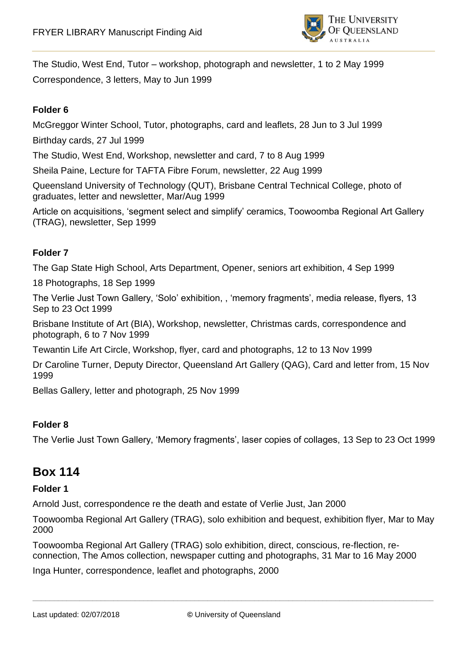

The Studio, West End, Tutor – workshop, photograph and newsletter, 1 to 2 May 1999 Correspondence, 3 letters, May to Jun 1999

## **Folder 6**

McGreggor Winter School, Tutor, photographs, card and leaflets, 28 Jun to 3 Jul 1999

Birthday cards, 27 Jul 1999

The Studio, West End, Workshop, newsletter and card, 7 to 8 Aug 1999

Sheila Paine, Lecture for TAFTA Fibre Forum, newsletter, 22 Aug 1999

Queensland University of Technology (QUT), Brisbane Central Technical College, photo of graduates, letter and newsletter, Mar/Aug 1999

Article on acquisitions, 'segment select and simplify' ceramics, Toowoomba Regional Art Gallery (TRAG), newsletter, Sep 1999

#### **Folder 7**

The Gap State High School, Arts Department, Opener, seniors art exhibition, 4 Sep 1999

18 Photographs, 18 Sep 1999

The Verlie Just Town Gallery, 'Solo' exhibition, , 'memory fragments', media release, flyers, 13 Sep to 23 Oct 1999

Brisbane Institute of Art (BIA), Workshop, newsletter, Christmas cards, correspondence and photograph, 6 to 7 Nov 1999

Tewantin Life Art Circle, Workshop, flyer, card and photographs, 12 to 13 Nov 1999

Dr Caroline Turner, Deputy Director, Queensland Art Gallery (QAG), Card and letter from, 15 Nov 1999

Bellas Gallery, letter and photograph, 25 Nov 1999

#### **Folder 8**

The Verlie Just Town Gallery, 'Memory fragments', laser copies of collages, 13 Sep to 23 Oct 1999

## **Box 114**

#### **Folder 1**

Arnold Just, correspondence re the death and estate of Verlie Just, Jan 2000

Toowoomba Regional Art Gallery (TRAG), solo exhibition and bequest, exhibition flyer, Mar to May 2000

Toowoomba Regional Art Gallery (TRAG) solo exhibition, direct, conscious, re-flection, reconnection, The Amos collection, newspaper cutting and photographs, 31 Mar to 16 May 2000

Inga Hunter, correspondence, leaflet and photographs, 2000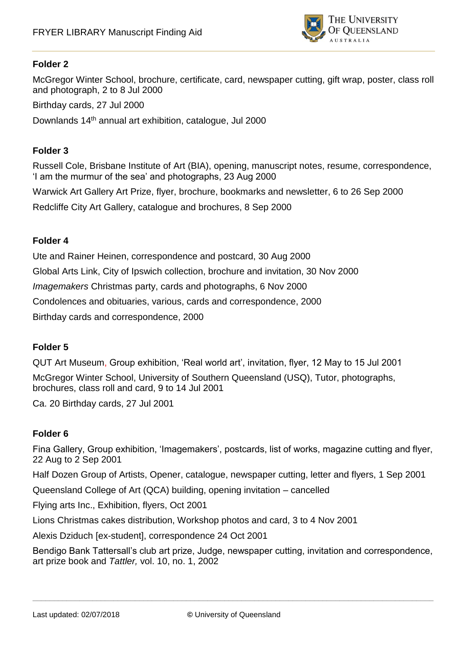

McGregor Winter School, brochure, certificate, card, newspaper cutting, gift wrap, poster, class roll and photograph, 2 to 8 Jul 2000

Birthday cards, 27 Jul 2000

Downlands 14th annual art exhibition, catalogue, Jul 2000

#### **Folder 3**

Russell Cole, Brisbane Institute of Art (BIA), opening, manuscript notes, resume, correspondence, 'I am the murmur of the sea' and photographs, 23 Aug 2000

Warwick Art Gallery Art Prize, flyer, brochure, bookmarks and newsletter, 6 to 26 Sep 2000

Redcliffe City Art Gallery, catalogue and brochures, 8 Sep 2000

#### **Folder 4**

Ute and Rainer Heinen, correspondence and postcard, 30 Aug 2000 Global Arts Link, City of Ipswich collection, brochure and invitation, 30 Nov 2000 *Imagemakers* Christmas party, cards and photographs, 6 Nov 2000 Condolences and obituaries, various, cards and correspondence, 2000 Birthday cards and correspondence, 2000

#### **Folder 5**

QUT Art Museum, Group exhibition, 'Real world art', invitation, flyer, 12 May to 15 Jul 2001 McGregor Winter School, University of Southern Queensland (USQ), Tutor, photographs, brochures, class roll and card, 9 to 14 Jul 2001

Ca. 20 Birthday cards, 27 Jul 2001

## **Folder 6**

Fina Gallery, Group exhibition, 'Imagemakers', postcards, list of works, magazine cutting and flyer, 22 Aug to 2 Sep 2001

Half Dozen Group of Artists, Opener, catalogue, newspaper cutting, letter and flyers, 1 Sep 2001

Queensland College of Art (QCA) building, opening invitation – cancelled

Flying arts Inc., Exhibition, flyers, Oct 2001

Lions Christmas cakes distribution, Workshop photos and card, 3 to 4 Nov 2001

Alexis Dziduch [ex-student], correspondence 24 Oct 2001

Bendigo Bank Tattersall's club art prize, Judge, newspaper cutting, invitation and correspondence, art prize book and *Tattler,* vol. 10, no. 1, 2002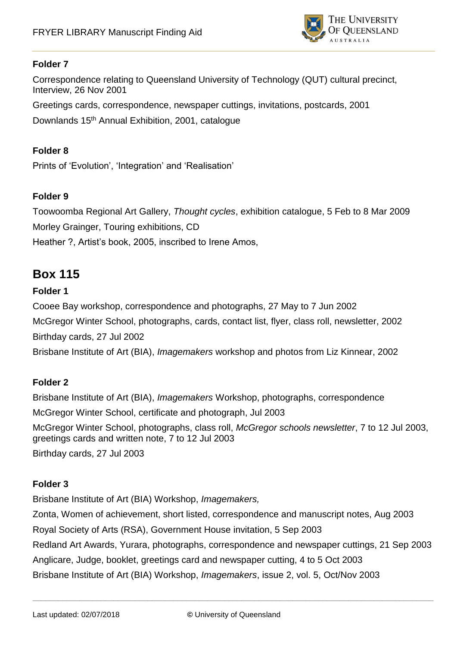

Correspondence relating to Queensland University of Technology (QUT) cultural precinct, Interview, 26 Nov 2001

Greetings cards, correspondence, newspaper cuttings, invitations, postcards, 2001 Downlands 15th Annual Exhibition, 2001, catalogue

## **Folder 8**

Prints of 'Evolution', 'Integration' and 'Realisation'

## **Folder 9**

Toowoomba Regional Art Gallery, *Thought cycles*, exhibition catalogue, 5 Feb to 8 Mar 2009 Morley Grainger, Touring exhibitions, CD Heather ?, Artist's book, 2005, inscribed to Irene Amos,

## **Box 115**

## **Folder 1**

Cooee Bay workshop, correspondence and photographs, 27 May to 7 Jun 2002 McGregor Winter School, photographs, cards, contact list, flyer, class roll, newsletter, 2002 Birthday cards, 27 Jul 2002

Brisbane Institute of Art (BIA), *Imagemakers* workshop and photos from Liz Kinnear, 2002

## **Folder 2**

Brisbane Institute of Art (BIA), *Imagemakers* Workshop, photographs, correspondence McGregor Winter School, certificate and photograph, Jul 2003 McGregor Winter School, photographs, class roll, *McGregor schools newsletter*, 7 to 12 Jul 2003, greetings cards and written note, 7 to 12 Jul 2003 Birthday cards, 27 Jul 2003

## **Folder 3**

Brisbane Institute of Art (BIA) Workshop, *Imagemakers,*

Zonta, Women of achievement, short listed, correspondence and manuscript notes, Aug 2003 Royal Society of Arts (RSA), Government House invitation, 5 Sep 2003 Redland Art Awards, Yurara, photographs, correspondence and newspaper cuttings, 21 Sep 2003 Anglicare, Judge, booklet, greetings card and newspaper cutting, 4 to 5 Oct 2003 Brisbane Institute of Art (BIA) Workshop, *Imagemakers*, issue 2, vol. 5, Oct/Nov 2003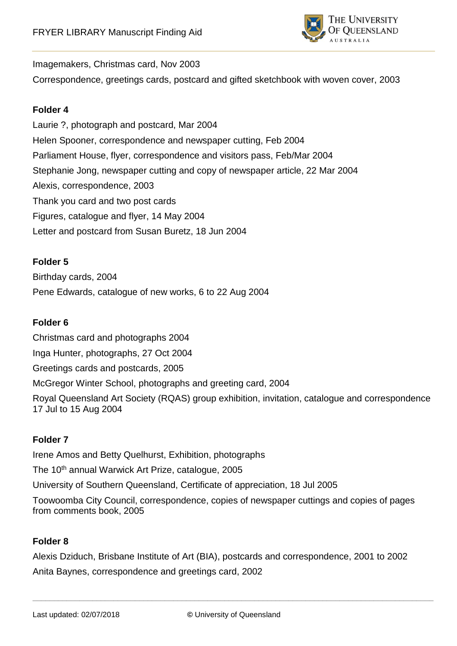

#### Imagemakers, Christmas card, Nov 2003

Correspondence, greetings cards, postcard and gifted sketchbook with woven cover, 2003

#### **Folder 4**

Laurie ?, photograph and postcard, Mar 2004 Helen Spooner, correspondence and newspaper cutting, Feb 2004 Parliament House, flyer, correspondence and visitors pass, Feb/Mar 2004 Stephanie Jong, newspaper cutting and copy of newspaper article, 22 Mar 2004 Alexis, correspondence, 2003 Thank you card and two post cards Figures, catalogue and flyer, 14 May 2004 Letter and postcard from Susan Buretz, 18 Jun 2004

### **Folder 5**

Birthday cards, 2004 Pene Edwards, catalogue of new works, 6 to 22 Aug 2004

## **Folder 6**

Christmas card and photographs 2004 Inga Hunter, photographs, 27 Oct 2004 Greetings cards and postcards, 2005 McGregor Winter School, photographs and greeting card, 2004 Royal Queensland Art Society (RQAS) group exhibition, invitation, catalogue and correspondence 17 Jul to 15 Aug 2004

#### **Folder 7**

Irene Amos and Betty Quelhurst, Exhibition, photographs The 10<sup>th</sup> annual Warwick Art Prize, catalogue, 2005 University of Southern Queensland, Certificate of appreciation, 18 Jul 2005 Toowoomba City Council, correspondence, copies of newspaper cuttings and copies of pages from comments book, 2005

## **Folder 8**

Alexis Dziduch, Brisbane Institute of Art (BIA), postcards and correspondence, 2001 to 2002 Anita Baynes, correspondence and greetings card, 2002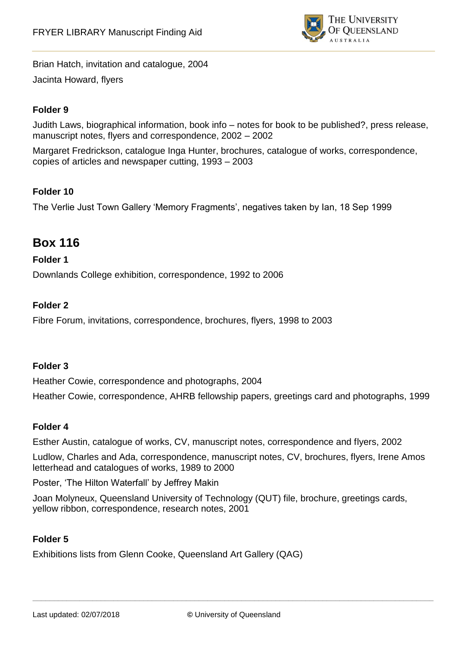

Brian Hatch, invitation and catalogue, 2004 Jacinta Howard, flyers

## **Folder 9**

Judith Laws, biographical information, book info – notes for book to be published?, press release, manuscript notes, flyers and correspondence, 2002 – 2002

Margaret Fredrickson, catalogue Inga Hunter, brochures, catalogue of works, correspondence, copies of articles and newspaper cutting, 1993 – 2003

#### **Folder 10**

The Verlie Just Town Gallery 'Memory Fragments', negatives taken by Ian, 18 Sep 1999

## **Box 116**

#### **Folder 1**

Downlands College exhibition, correspondence, 1992 to 2006

#### **Folder 2**

Fibre Forum, invitations, correspondence, brochures, flyers, 1998 to 2003

#### **Folder 3**

Heather Cowie, correspondence and photographs, 2004

Heather Cowie, correspondence, AHRB fellowship papers, greetings card and photographs, 1999

#### **Folder 4**

Esther Austin, catalogue of works, CV, manuscript notes, correspondence and flyers, 2002

Ludlow, Charles and Ada, correspondence, manuscript notes, CV, brochures, flyers, Irene Amos letterhead and catalogues of works, 1989 to 2000

Poster, 'The Hilton Waterfall' by Jeffrey Makin

Joan Molyneux, Queensland University of Technology (QUT) file, brochure, greetings cards, yellow ribbon, correspondence, research notes, 2001

#### **Folder 5**

Exhibitions lists from Glenn Cooke, Queensland Art Gallery (QAG)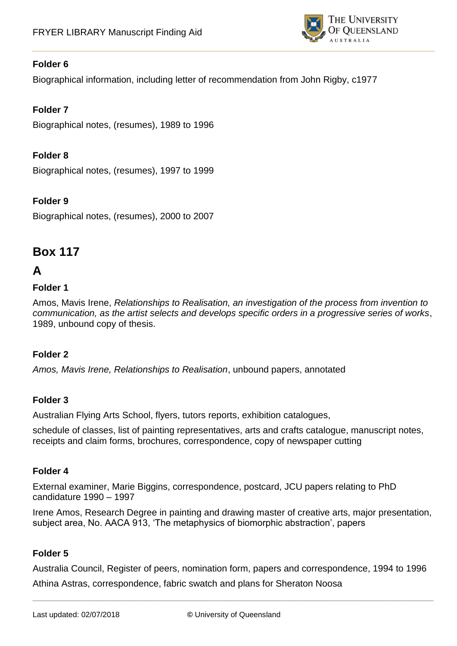

Biographical information, including letter of recommendation from John Rigby, c1977

## **Folder 7**

Biographical notes, (resumes), 1989 to 1996

## **Folder 8**

Biographical notes, (resumes), 1997 to 1999

## **Folder 9**

Biographical notes, (resumes), 2000 to 2007

## **Box 117**

## **A**

### **Folder 1**

Amos, Mavis Irene, *Relationships to Realisation, an investigation of the process from invention to communication, as the artist selects and develops specific orders in a progressive series of works*, 1989, unbound copy of thesis.

## **Folder 2**

*Amos, Mavis Irene, Relationships to Realisation*, unbound papers, annotated

## **Folder 3**

Australian Flying Arts School, flyers, tutors reports, exhibition catalogues,

schedule of classes, list of painting representatives, arts and crafts catalogue, manuscript notes, receipts and claim forms, brochures, correspondence, copy of newspaper cutting

#### **Folder 4**

External examiner, Marie Biggins, correspondence, postcard, JCU papers relating to PhD candidature 1990 – 1997

Irene Amos, Research Degree in painting and drawing master of creative arts, major presentation, subject area, No. AACA 913, 'The metaphysics of biomorphic abstraction', papers

## **Folder 5**

Australia Council, Register of peers, nomination form, papers and correspondence, 1994 to 1996 Athina Astras, correspondence, fabric swatch and plans for Sheraton Noosa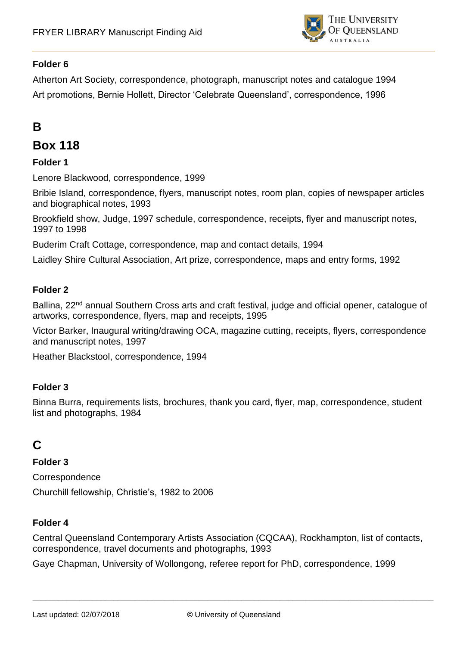

Atherton Art Society, correspondence, photograph, manuscript notes and catalogue 1994 Art promotions, Bernie Hollett, Director 'Celebrate Queensland', correspondence, 1996

# **B**

## **Box 118**

## **Folder 1**

Lenore Blackwood, correspondence, 1999

Bribie Island, correspondence, flyers, manuscript notes, room plan, copies of newspaper articles and biographical notes, 1993

Brookfield show, Judge, 1997 schedule, correspondence, receipts, flyer and manuscript notes, 1997 to 1998

Buderim Craft Cottage, correspondence, map and contact details, 1994

Laidley Shire Cultural Association, Art prize, correspondence, maps and entry forms, 1992

## **Folder 2**

Ballina, 22<sup>nd</sup> annual Southern Cross arts and craft festival, judge and official opener, catalogue of artworks, correspondence, flyers, map and receipts, 1995

Victor Barker, Inaugural writing/drawing OCA, magazine cutting, receipts, flyers, correspondence and manuscript notes, 1997

Heather Blackstool, correspondence, 1994

#### **Folder 3**

Binna Burra, requirements lists, brochures, thank you card, flyer, map, correspondence, student list and photographs, 1984

# **C**

**Folder 3**

Correspondence

Churchill fellowship, Christie's, 1982 to 2006

#### **Folder 4**

Central Queensland Contemporary Artists Association (CQCAA), Rockhampton, list of contacts, correspondence, travel documents and photographs, 1993

Gaye Chapman, University of Wollongong, referee report for PhD, correspondence, 1999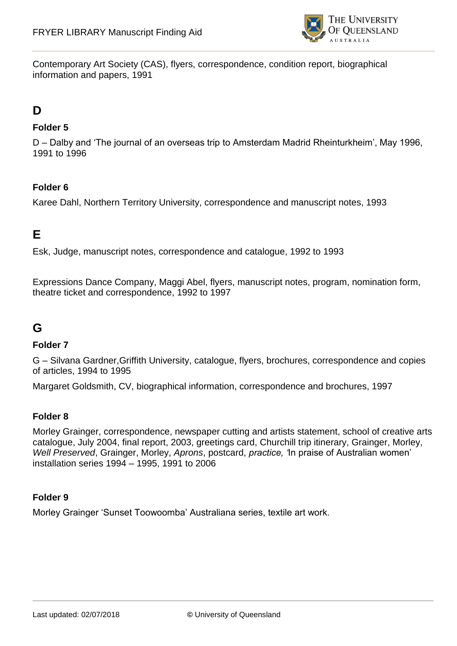

Contemporary Art Society (CAS), flyers, correspondence, condition report, biographical information and papers, 1991

## **D**

### **Folder 5**

D – Dalby and 'The journal of an overseas trip to Amsterdam Madrid Rheinturkheim', May 1996, 1991 to 1996

### **Folder 6**

Karee Dahl, Northern Territory University, correspondence and manuscript notes, 1993

## **E**

Esk, Judge, manuscript notes, correspondence and catalogue, 1992 to 1993

Expressions Dance Company, Maggi Abel, flyers, manuscript notes, program, nomination form, theatre ticket and correspondence, 1992 to 1997

## **G**

#### **Folder 7**

G – Silvana Gardner,Griffith University, catalogue, flyers, brochures, correspondence and copies of articles, 1994 to 1995

Margaret Goldsmith, CV, biographical information, correspondence and brochures, 1997

#### **Folder 8**

Morley Grainger, correspondence, newspaper cutting and artists statement, school of creative arts catalogue, July 2004, final report, 2003, greetings card, Churchill trip itinerary, Grainger, Morley, *Well Preserved*, Grainger, Morley, *Aprons*, postcard, *practice, '*In praise of Australian women' installation series 1994 – 1995, 1991 to 2006

#### **Folder 9**

Morley Grainger 'Sunset Toowoomba' Australiana series, textile art work.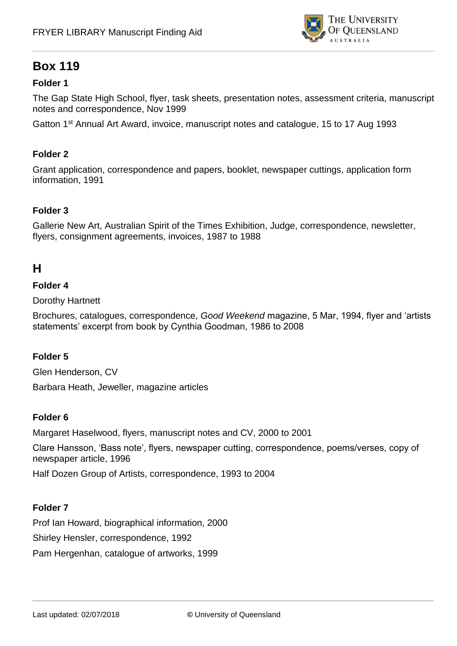

## **Box 119**

## **Folder 1**

The Gap State High School, flyer, task sheets, presentation notes, assessment criteria, manuscript notes and correspondence, Nov 1999

Gatton 1st Annual Art Award, invoice, manuscript notes and catalogue, 15 to 17 Aug 1993

#### **Folder 2**

Grant application, correspondence and papers, booklet, newspaper cuttings, application form information, 1991

#### **Folder 3**

Gallerie New Art, Australian Spirit of the Times Exhibition, Judge, correspondence, newsletter, flyers, consignment agreements, invoices, 1987 to 1988

## **H**

#### **Folder 4**

Dorothy Hartnett

Brochures, catalogues, correspondence, *Good Weekend* magazine, 5 Mar, 1994, flyer and 'artists statements' excerpt from book by Cynthia Goodman, 1986 to 2008

#### **Folder 5**

Glen Henderson, CV Barbara Heath, Jeweller, magazine articles

#### **Folder 6**

Margaret Haselwood, flyers, manuscript notes and CV, 2000 to 2001

Clare Hansson, 'Bass note', flyers, newspaper cutting, correspondence, poems/verses, copy of newspaper article, 1996

Half Dozen Group of Artists, correspondence, 1993 to 2004

#### **Folder 7**

Prof Ian Howard, biographical information, 2000 Shirley Hensler, correspondence, 1992 Pam Hergenhan, catalogue of artworks, 1999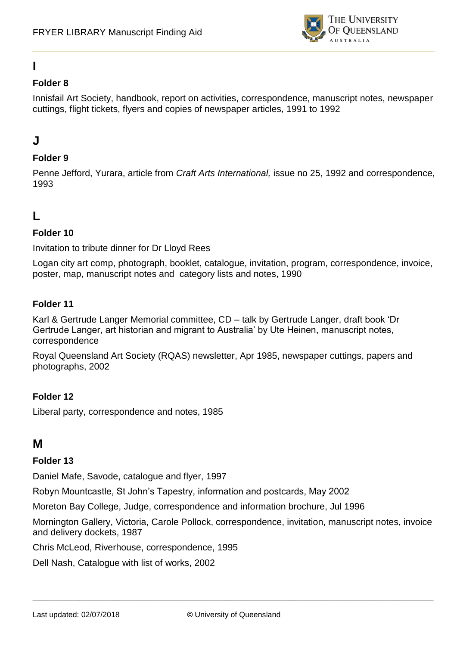

# **I**

## **Folder 8**

Innisfail Art Society, handbook, report on activities, correspondence, manuscript notes, newspaper cuttings, flight tickets, flyers and copies of newspaper articles, 1991 to 1992

## **J**

## **Folder 9**

Penne Jefford, Yurara, article from *Craft Arts International,* issue no 25, 1992 and correspondence, 1993

# **L**

## **Folder 10**

Invitation to tribute dinner for Dr Lloyd Rees

Logan city art comp, photograph, booklet, catalogue, invitation, program, correspondence, invoice, poster, map, manuscript notes and category lists and notes, 1990

### **Folder 11**

Karl & Gertrude Langer Memorial committee, CD – talk by Gertrude Langer, draft book 'Dr Gertrude Langer, art historian and migrant to Australia' by Ute Heinen, manuscript notes, correspondence

Royal Queensland Art Society (RQAS) newsletter, Apr 1985, newspaper cuttings, papers and photographs, 2002

## **Folder 12**

Liberal party, correspondence and notes, 1985

## **M**

## **Folder 13**

Daniel Mafe, Savode, catalogue and flyer, 1997

Robyn Mountcastle, St John's Tapestry, information and postcards, May 2002

Moreton Bay College, Judge, correspondence and information brochure, Jul 1996

Mornington Gallery, Victoria, Carole Pollock, correspondence, invitation, manuscript notes, invoice and delivery dockets, 1987

Chris McLeod, Riverhouse, correspondence, 1995

Dell Nash, Catalogue with list of works, 2002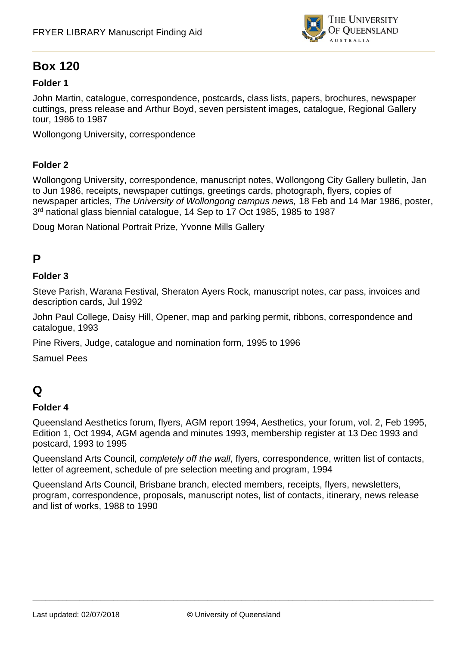

# **Box 120**

## **Folder 1**

John Martin, catalogue, correspondence, postcards, class lists, papers, brochures, newspaper cuttings, press release and Arthur Boyd, seven persistent images, catalogue, Regional Gallery tour, 1986 to 1987

Wollongong University, correspondence

### **Folder 2**

Wollongong University, correspondence, manuscript notes, Wollongong City Gallery bulletin, Jan to Jun 1986, receipts, newspaper cuttings, greetings cards, photograph, flyers, copies of newspaper articles, *The University of Wollongong campus news,* 18 Feb and 14 Mar 1986, poster, 3<sup>rd</sup> national glass biennial catalogue, 14 Sep to 17 Oct 1985, 1985 to 1987

Doug Moran National Portrait Prize, Yvonne Mills Gallery

## **P**

#### **Folder 3**

Steve Parish, Warana Festival, Sheraton Ayers Rock, manuscript notes, car pass, invoices and description cards, Jul 1992

John Paul College, Daisy Hill, Opener, map and parking permit, ribbons, correspondence and catalogue, 1993

Pine Rivers, Judge, catalogue and nomination form, 1995 to 1996

Samuel Pees

# **Q**

#### **Folder 4**

Queensland Aesthetics forum, flyers, AGM report 1994, Aesthetics, your forum, vol. 2, Feb 1995, Edition 1, Oct 1994, AGM agenda and minutes 1993, membership register at 13 Dec 1993 and postcard, 1993 to 1995

Queensland Arts Council, *completely off the wall*, flyers, correspondence, written list of contacts, letter of agreement, schedule of pre selection meeting and program, 1994

Queensland Arts Council, Brisbane branch, elected members, receipts, flyers, newsletters, program, correspondence, proposals, manuscript notes, list of contacts, itinerary, news release and list of works, 1988 to 1990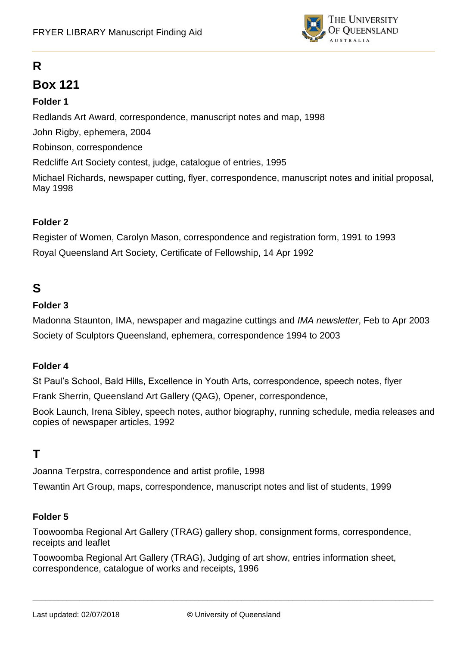

# **R**

## **Box 121**

### **Folder 1**

Redlands Art Award, correspondence, manuscript notes and map, 1998

John Rigby, ephemera, 2004

Robinson, correspondence

Redcliffe Art Society contest, judge, catalogue of entries, 1995

Michael Richards, newspaper cutting, flyer, correspondence, manuscript notes and initial proposal, May 1998

### **Folder 2**

Register of Women, Carolyn Mason, correspondence and registration form, 1991 to 1993 Royal Queensland Art Society, Certificate of Fellowship, 14 Apr 1992

## **S**

### **Folder 3**

Madonna Staunton, IMA, newspaper and magazine cuttings and *IMA newsletter*, Feb to Apr 2003 Society of Sculptors Queensland, ephemera, correspondence 1994 to 2003

### **Folder 4**

St Paul's School, Bald Hills, Excellence in Youth Arts, correspondence, speech notes, flyer

Frank Sherrin, Queensland Art Gallery (QAG), Opener, correspondence,

Book Launch, Irena Sibley, speech notes, author biography, running schedule, media releases and copies of newspaper articles, 1992

## **T**

Joanna Terpstra, correspondence and artist profile, 1998

Tewantin Art Group, maps, correspondence, manuscript notes and list of students, 1999

### **Folder 5**

Toowoomba Regional Art Gallery (TRAG) gallery shop, consignment forms, correspondence, receipts and leaflet

Toowoomba Regional Art Gallery (TRAG), Judging of art show, entries information sheet, correspondence, catalogue of works and receipts, 1996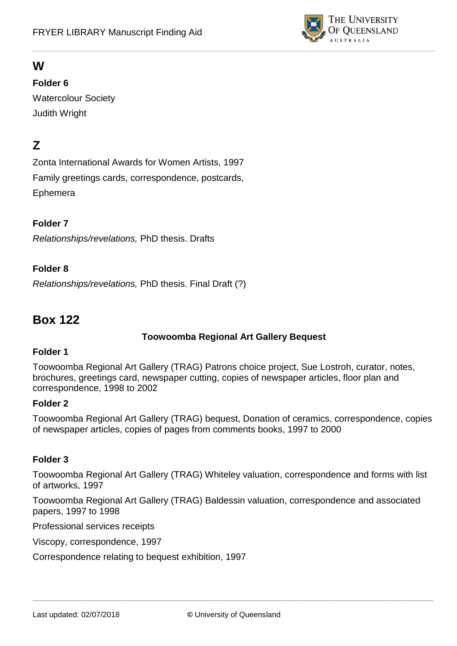

## **W**

### **Folder 6**

Watercolour Society Judith Wright

## **Z**

Zonta International Awards for Women Artists, 1997 Family greetings cards, correspondence, postcards, Ephemera

### **Folder 7**

*Relationships/revelations,* PhD thesis. Drafts

### **Folder 8**

*Relationships/revelations,* PhD thesis. Final Draft (?)

## **Box 122**

#### **Toowoomba Regional Art Gallery Bequest**

#### **Folder 1**

Toowoomba Regional Art Gallery (TRAG) Patrons choice project, Sue Lostroh, curator, notes, brochures, greetings card, newspaper cutting, copies of newspaper articles, floor plan and correspondence, 1998 to 2002

#### **Folder 2**

Toowoomba Regional Art Gallery (TRAG) bequest, Donation of ceramics, correspondence, copies of newspaper articles, copies of pages from comments books, 1997 to 2000

### **Folder 3**

Toowoomba Regional Art Gallery (TRAG) Whiteley valuation, correspondence and forms with list of artworks, 1997

Toowoomba Regional Art Gallery (TRAG) Baldessin valuation, correspondence and associated papers, 1997 to 1998

Professional services receipts

Viscopy, correspondence, 1997

Correspondence relating to bequest exhibition, 1997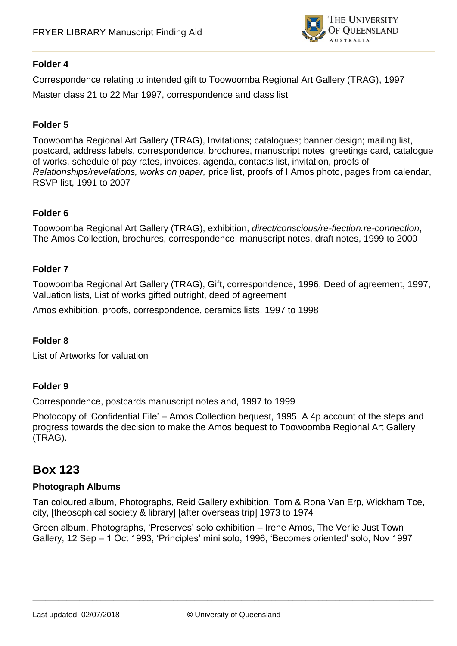

#### **Folder 4**

Correspondence relating to intended gift to Toowoomba Regional Art Gallery (TRAG), 1997 Master class 21 to 22 Mar 1997, correspondence and class list

#### **Folder 5**

Toowoomba Regional Art Gallery (TRAG), Invitations; catalogues; banner design; mailing list, postcard, address labels, correspondence, brochures, manuscript notes, greetings card, catalogue of works, schedule of pay rates, invoices, agenda, contacts list, invitation, proofs of *Relationships/revelations, works on paper,* price list, proofs of I Amos photo, pages from calendar, RSVP list, 1991 to 2007

#### **Folder 6**

Toowoomba Regional Art Gallery (TRAG), exhibition, *direct/conscious/re-flection.re-connection*, The Amos Collection, brochures, correspondence, manuscript notes, draft notes, 1999 to 2000

#### **Folder 7**

Toowoomba Regional Art Gallery (TRAG), Gift, correspondence, 1996, Deed of agreement, 1997, Valuation lists, List of works gifted outright, deed of agreement

Amos exhibition, proofs, correspondence, ceramics lists, 1997 to 1998

#### **Folder 8**

List of Artworks for valuation

#### **Folder 9**

Correspondence, postcards manuscript notes and, 1997 to 1999

Photocopy of 'Confidential File' – Amos Collection bequest, 1995. A 4p account of the steps and progress towards the decision to make the Amos bequest to Toowoomba Regional Art Gallery (TRAG).

## **Box 123**

#### **Photograph Albums**

Tan coloured album, Photographs, Reid Gallery exhibition, Tom & Rona Van Erp, Wickham Tce, city, [theosophical society & library] [after overseas trip] 1973 to 1974

Green album, Photographs, 'Preserves' solo exhibition – Irene Amos, The Verlie Just Town Gallery, 12 Sep – 1 Oct 1993, 'Principles' mini solo, 1996, 'Becomes oriented' solo, Nov 1997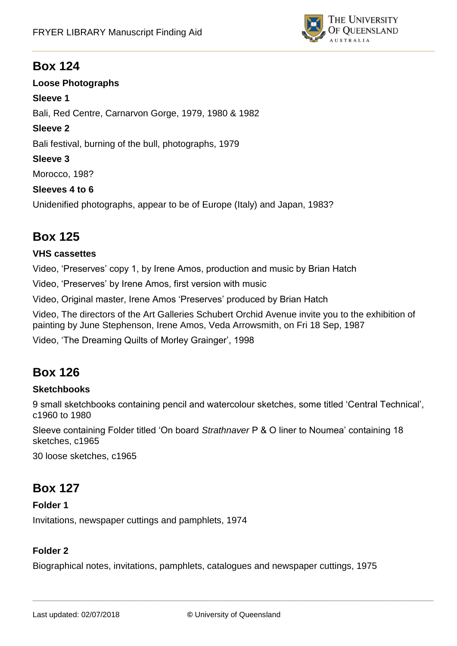

## **Box 124**

**Loose Photographs Sleeve 1** Bali, Red Centre, Carnarvon Gorge, 1979, 1980 & 1982 **Sleeve 2** Bali festival, burning of the bull, photographs, 1979 **Sleeve 3** Morocco, 198? **Sleeves 4 to 6** Unidenified photographs, appear to be of Europe (Italy) and Japan, 1983?

# **Box 125**

### **VHS cassettes**

Video, 'Preserves' copy 1, by Irene Amos, production and music by Brian Hatch

Video, 'Preserves' by Irene Amos, first version with music

Video, Original master, Irene Amos 'Preserves' produced by Brian Hatch

Video, The directors of the Art Galleries Schubert Orchid Avenue invite you to the exhibition of painting by June Stephenson, Irene Amos, Veda Arrowsmith, on Fri 18 Sep, 1987

Video, 'The Dreaming Quilts of Morley Grainger', 1998

# **Box 126**

### **Sketchbooks**

9 small sketchbooks containing pencil and watercolour sketches, some titled 'Central Technical', c1960 to 1980

Sleeve containing Folder titled 'On board *Strathnaver* P & O liner to Noumea' containing 18 sketches, c1965

30 loose sketches, c1965

# **Box 127**

**Folder 1** Invitations, newspaper cuttings and pamphlets, 1974

### **Folder 2**

Biographical notes, invitations, pamphlets, catalogues and newspaper cuttings, 1975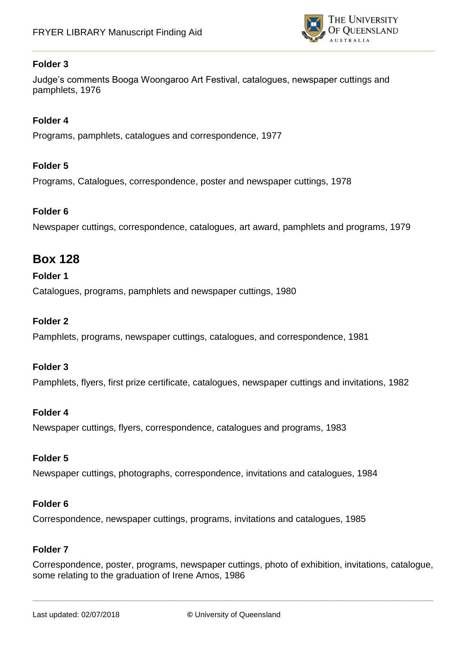

### **Folder 3**

Judge's comments Booga Woongaroo Art Festival, catalogues, newspaper cuttings and pamphlets, 1976

#### **Folder 4**

Programs, pamphlets, catalogues and correspondence, 1977

#### **Folder 5**

Programs, Catalogues, correspondence, poster and newspaper cuttings, 1978

#### **Folder 6**

Newspaper cuttings, correspondence, catalogues, art award, pamphlets and programs, 1979

### **Box 128**

#### **Folder 1**

Catalogues, programs, pamphlets and newspaper cuttings, 1980

#### **Folder 2**

Pamphlets, programs, newspaper cuttings, catalogues, and correspondence, 1981

#### **Folder 3**

Pamphlets, flyers, first prize certificate, catalogues, newspaper cuttings and invitations, 1982

#### **Folder 4**

Newspaper cuttings, flyers, correspondence, catalogues and programs, 1983

#### **Folder 5**

Newspaper cuttings, photographs, correspondence, invitations and catalogues, 1984

#### **Folder 6**

Correspondence, newspaper cuttings, programs, invitations and catalogues, 1985

#### **Folder 7**

Correspondence, poster, programs, newspaper cuttings, photo of exhibition, invitations, catalogue, some relating to the graduation of Irene Amos, 1986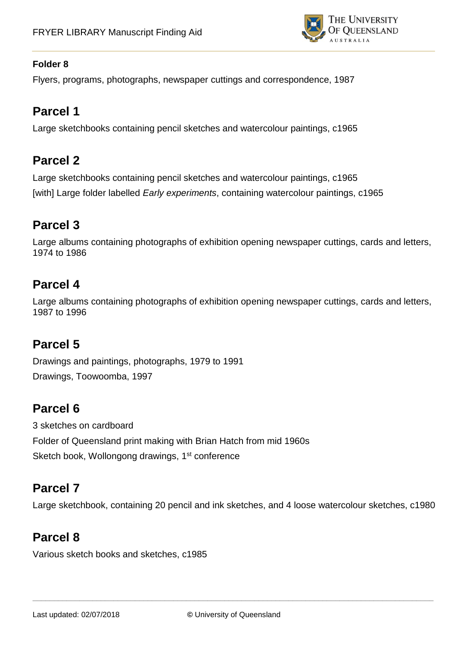

### **Folder 8**

Flyers, programs, photographs, newspaper cuttings and correspondence, 1987

# **Parcel 1**

Large sketchbooks containing pencil sketches and watercolour paintings, c1965

## **Parcel 2**

Large sketchbooks containing pencil sketches and watercolour paintings, c1965 [with] Large folder labelled *Early experiments*, containing watercolour paintings, c1965

# **Parcel 3**

Large albums containing photographs of exhibition opening newspaper cuttings, cards and letters, 1974 to 1986

## **Parcel 4**

Large albums containing photographs of exhibition opening newspaper cuttings, cards and letters, 1987 to 1996

## **Parcel 5**

Drawings and paintings, photographs, 1979 to 1991 Drawings, Toowoomba, 1997

## **Parcel 6**

3 sketches on cardboard Folder of Queensland print making with Brian Hatch from mid 1960s Sketch book, Wollongong drawings, 1<sup>st</sup> conference

# **Parcel 7**

Large sketchbook, containing 20 pencil and ink sketches, and 4 loose watercolour sketches, c1980

# **Parcel 8**

Various sketch books and sketches, c1985